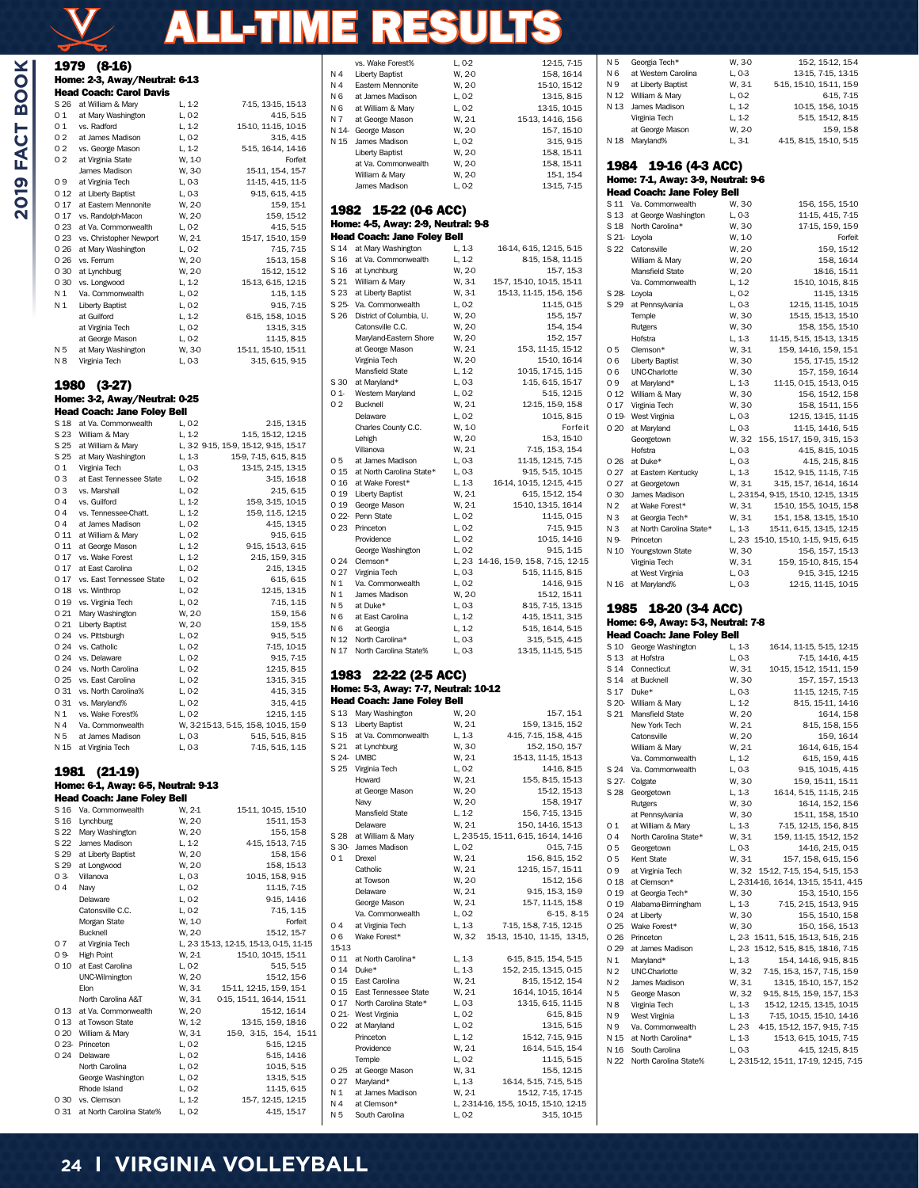# ALL-TIME RESULTS

| ٢       |  |
|---------|--|
| ŀ<br>t. |  |
|         |  |
| c       |  |
| ×,      |  |
|         |  |

 $\chi$ 

|              | 1979 (8-16)                                 |                      |                                                          |
|--------------|---------------------------------------------|----------------------|----------------------------------------------------------|
|              | Home: 2-3, Away/Neutral: 6-13               |                      |                                                          |
|              | <b>Head Coach: Carol Davis</b>              |                      |                                                          |
| S 26         | at William & Mary                           | $L, 1-2$             | 7-15, 13-15, 15-13                                       |
| 01<br>01     | at Mary Washington<br>vs. Radford           | L, 0-2<br>$L, 1-2$   | 4-15, 5-15                                               |
| 02           | at James Madison                            | L, 0-2               | 15-10, 11-15, 10-15<br>3-15, 4-15                        |
| 02           | vs. George Mason                            | $L, 1-2$             | 5-15, 16-14, 14-16                                       |
| 02           | at Virginia State                           | W, 1-0               | Forfeit                                                  |
|              | James Madison                               | W, 3-0               | 15-11, 15-4, 15-7                                        |
| 09           | at Virginia Tech                            | L, 0-3               | 11-15, 4-15, 11-5                                        |
|              | O 12 at Liberty Baptist                     | L, 0-3               | 9-15, 6-15, 4-15                                         |
| 017<br>0 17  | at Eastern Mennonite<br>vs. Randolph-Macon  | W, 2-0<br>W, 2-0     | 15-9, 15-1<br>15-9, 15-12                                |
|              | O 23 at Va. Commonwealth                    | $L, 0-2$             | 4-15, 5-15                                               |
|              | O 23 vs. Christopher Newport                | W, 2-1               | 15-17, 15-10, 15-9                                       |
| 0 26         | at Mary Washington                          | $L, 0-2$             | 7-15, 7-15                                               |
| 0 26         | vs. Ferrum                                  | W, 2-0               | 15-13, 15-8                                              |
| 030          | at Lynchburg                                | W, 2-0               | 15-12, 15-12                                             |
| 0 30         | vs. Longwood                                | $L, 1-2$             | 15-13, 6-15, 12-15                                       |
| N 1<br>Ν1    | Va. Commonwealth<br><b>Liberty Baptist</b>  | $L, 0-2$<br>$L, 0-2$ | 1-15, 1-15<br>9-15, 7-15                                 |
|              | at Guilford                                 | $L, 1-2$             | 6-15, 15-8, 10-15                                        |
|              | at Virginia Tech                            | $L, 0-2$             | 13-15, 3-15                                              |
|              | at George Mason                             | L, 0-2               | 11-15, 8-15                                              |
| N 5          | at Mary Washington                          | W, 3-0               | 15-11, 15-10, 15-11                                      |
| N 8          | Virginia Tech                               | L, 0-3               | 3-15, 6-15, 9-15                                         |
| 1980         | $(3-27)$                                    |                      |                                                          |
|              | Home: 3-2, Away/Neutral: 0-25               |                      |                                                          |
|              | <b>Head Coach: Jane Foley Bell</b>          |                      |                                                          |
| S 18         | at Va. Commonwealth                         | L, 0-2               | 2-15, 13-15                                              |
| S 23         | William & Mary                              | $L, 1-2$             | 1-15, 15-12, 12-15                                       |
|              | S 25 at William & Mary                      |                      | L, 3-2 9-15, 15-9, 15-12, 9-15, 15-17                    |
| 01           | S 25 at Mary Washington                     | L, 1-3<br>L, 0-3     | 15-9, 7-15, 6-15, 8-15<br>13-15, 2-15, 13-15             |
| 03           | Virginia Tech<br>at East Tennessee State    | $L, 0-2$             | 3-15, 16-18                                              |
| 03           | vs. Marshall                                | $L, 0-2$             | 2-15, 6-15                                               |
| 04           | vs. Guilford                                | $L, 1-2$             | 15-9, 3-15, 10-15                                        |
| 04           | vs. Tennessee-Chatt.                        | $L, 1-2$             | 15-9, 11-5, 12-15                                        |
| 04           | at James Madison                            | $L, 0-2$             | 4-15, 13-15                                              |
|              | O 11 at William & Mary                      | $L, 0-2$             | 9-15, 6-15                                               |
| 0 11         | at George Mason<br>vs. Wake Forest          | $L, 1-2$             | 9-15, 15-13, 6-15                                        |
| 0 17<br>0 17 | at East Carolina                            | $L, 1-2$<br>$L, 0-2$ | 2-15, 15-9, 3-15<br>2-15, 13-15                          |
| 0 17         | vs. East Tennessee State                    | $L, 0-2$             | 6-15, 6-15                                               |
| 018          | vs. Winthrop                                | L, 0-2               | 12-15, 13-15                                             |
| 0 19         | vs. Virginia Tech                           | $L, 0-2$             | 7-15, 1-15                                               |
| 0 21         | Mary Washington                             | W, 2-0               | 15-9, 15-6                                               |
| 0 21         | <b>Liberty Baptist</b>                      | W, 2-0               | 15-9, 15-5                                               |
| 0 24         | vs. Pittsburgh<br>O 24 vs. Catholic         | $L, 0-2$<br>$L, 0-2$ | 9-15, 5-15<br>7-15, 10-15                                |
| 0 24         | vs. Delaware                                | $L, 0-2$             | 9-15, 7-15                                               |
|              | O 24 vs. North Carolina                     | L, 0-2               | 12-15, 8-15                                              |
| 0 25         | vs. East Carolina                           | $L, 0-2$             | 13-15, 3-15                                              |
| 0 31         | vs. North Carolina%                         | L, 0-2               | 4-15, 3-15                                               |
| 0 31         | vs. Maryland%                               | $L, 0-2$             | 3-15, 4-15                                               |
| N 1          | vs. Wake Forest%                            | L, 0-2               | 12-15, 1-15                                              |
| N 4<br>N 5   | Va. Commonwealth<br>at James Madison        | L, 0-3               | W, 3-215-13, 5-15, 15-8, 10-15, 15-9<br>5-15, 5-15, 8-15 |
| N 15         | at Virginia Tech                            | L, 0-3               | 7-15, 5-15, 1-15                                         |
|              |                                             |                      |                                                          |
| 1981         | $(21-19)$                                   |                      |                                                          |
|              | Home: 6-1, Away: 6-5, Neutral: 9-13         |                      |                                                          |
|              | <b>Head Coach: Jane Foley Bell</b>          |                      |                                                          |
| S 16         | Va. Commonwealth                            | W, 2-1               | 15-11, 10-15, 15-10                                      |
| S 16         | Lynchburg                                   | W, 2-0               | 15-11, 15-3                                              |
| S 22         | S 22 Mary Washington<br>James Madison       | W, 2-0<br>L, 1-2     | 15-5, 15-8<br>4-15, 15-13, 7-15                          |
|              | S 29 at Liberty Baptist                     | W, 2-0               | 15-8, 15-6                                               |
|              | S 29 at Longwood                            | W, 2-0               | 15-8, 15-13                                              |
| 03           | Villanova                                   | L, 0-3               | 10-15, 15-8, 9-15                                        |
| 04           | Navy                                        | L, 0-2               | 11-15, 7-15                                              |
|              | Delaware                                    | $L, 0-2$             | 9-15, 14-16                                              |
|              | Catonsville C.C.                            | L, 0-2               | 7-15, 1-15                                               |
|              | Morgan State<br>Bucknell                    | W, 1-0<br>W, 2-0     | Forfeit<br>15-12, 15-7                                   |
| 07           | at Virginia Tech                            |                      | L, 2-3 15-13, 12-15, 15-13, 0-15, 11-15                  |
| 09-          | <b>High Point</b>                           | W, 2-1               | 15-10, 10-15, 15-11                                      |
|              | 0 10 at East Carolina                       | L, 0-2               | 5-15, 5-15                                               |
|              | UNC-Wilmington                              | W, 2-0               | 15-12, 15-6                                              |
|              | Elon                                        | W, 3-1               | 15-11, 12-15, 15-9, 15-1                                 |
|              | North Carolina A&T                          | W, 3-1               | 0-15, 15-11, 16-14, 15-11                                |
| 0 13         | at Va. Commonwealth<br>O 13 at Towson State | W, 2-0<br>W, 1-2     | 15-12, 16-14<br>13-15, 15-9, 18-16                       |
|              | 0 20 William & Mary                         | W, 3-1               | 15-9, 3-15, 15-4, 15-11                                  |
|              | O 23- Princeton                             | L, 0-2               | 5-15, 12-15                                              |
|              | 0 24 Delaware                               | L, 0-2               | 5-15, 14-16                                              |
|              | North Carolina                              | $L, 0-2$             | 10-15, 5-15                                              |
|              | George Washington                           | $L, 0-2$             | 13-15, 5-15                                              |
|              | Rhode Island<br>0 30 vs. Clemson            | L, 0-2<br>$L, 1-2$   | 11-15, 6-15<br>15-7, 12-15, 12-15                        |
|              |                                             |                      |                                                          |

|                | vs. Wake Forest%                     | L, 0-2           | 12-15, 7-15                            |
|----------------|--------------------------------------|------------------|----------------------------------------|
| Ν4             | <b>Liberty Baptist</b>               | W, 2-0           | 15-8, 16-14                            |
| N 4            | Eastern Mennonite                    | W, 2-0           | 15-10, 15-12                           |
| N 6            | at James Madison                     | L, 0-2           | 13-15, 8-15                            |
| N <sub>6</sub> | at William & Mary                    | L, 0-2           | 13-15, 10-15                           |
| N 7            | at George Mason                      | W, 2-1           | 15-13, 14-16, 15-6                     |
|                | N 14- George Mason                   | W, 2-0           | 15-7, 15-10                            |
| N 15           | James Madison                        | L, 0-2           | 3-15, 9-15                             |
|                | <b>Liberty Baptist</b>               | W, 2-0           | 15-8, 15-11                            |
|                | at Va. Commonwealth                  | W, 2-0           | 15-8, 15-11                            |
|                | William & Mary                       | W, 2-0           | 15-1, 15-4                             |
|                | James Madison                        | L, 0-2           | 13-15, 7-15                            |
|                |                                      |                  |                                        |
| 1982           | 15-22 (0-6 ACC)                      |                  |                                        |
|                | Home: 4-5, Away: 2-9, Neutral: 9-8   |                  |                                        |
|                | <b>Head Coach: Jane Foley Bell</b>   |                  |                                        |
| S 14           | at Mary Washington                   | L, 1-3           | 16-14, 6-15, 12-15, 5-15               |
| S 16           | at Va. Commonwealth                  | L, 1-2           | 8-15, 15-8, 11-15                      |
|                | S 16 at Lynchburg                    | W, 2-0           | 15-7, 15-3                             |
|                | S 21 William & Mary                  | W, 3-1           | 15-7, 15-10, 10-15, 15-11              |
|                | S 23 at Liberty Baptist              | W, 3-1           | 15-13, 11-15, 15-6, 15-6               |
|                | S 25- Va. Commonwealth               | L, 0-2           | 11-15, 0-15                            |
|                | S 26 District of Columbia, U.        | W, 2-0           | 15-5, 15-7                             |
|                | Catonsville C.C.                     | W, 2-0           | 154, 154                               |
|                | Maryland-Eastern Shore               | W, 2-0           | 15-2, 15-7                             |
|                | at George Mason                      | W, 2-1           | 15-3, 11-15, 15-12                     |
|                | Virginia Tech                        | W, 2-0           | 15-10, 16-14                           |
|                | Mansfield State                      | $L, 1-2$         | 10-15, 17-15, 1-15                     |
| S 30           | at Maryland*                         | L, 0-3           | 1-15, 6-15, 15-17                      |
| 01             | Western Maryland                     | L, 0-2           | 5-15, 12-15                            |
| 02             | Bucknell                             | W, 2-1           | 12-15, 15-9, 15-8                      |
|                | Delaware                             | L, 0-2           | 10-15, 8-15                            |
|                | Charles County C.C.                  | W, 1-0           | Forfeit                                |
|                | Lehigh                               | W, 2-0           | 15-3, 15-10                            |
|                | Villanova                            | W, 2-1           | 7-15, 15-3, 15-4                       |
| 05             | at James Madison                     | L, 0-3           | 11-15, 12-15, 7-15                     |
|                | 0 15 at North Carolina State*        | L, 0-3           | 9-15, 5-15, 10-15                      |
|                | 0 16 at Wake Forest*                 | L, 1-3           | 16-14, 10-15, 12-15, 4-15              |
|                | O 19 Liberty Baptist                 | W, 2-1           | 6-15, 15-12, 15-4                      |
|                | O 19 George Mason                    | W, 2-1           | 15-10, 13-15, 16-14                    |
|                | O 22- Penn State                     | L, 0-2           | 11-15, 0-15                            |
| 0 23           | Princeton                            | $L, 0-2$         | 7-15, 9-15                             |
|                | Providence                           | L, 0-2           | 10-15, 14-16                           |
|                | George Washington                    | $L, 0-2$         | 9-15, 1-15                             |
| 0 24           | Clemson*                             |                  | L, 2-3 14-16, 15-9, 15-8, 7-15, 12-15  |
| 0 27           | Virginia Tech                        | L, 0-3           | 5-15, 11-15, 8-15                      |
| N 1            | Va. Commonwealth                     | L, 0-2           | 14-16, 9-15                            |
|                |                                      |                  |                                        |
| N 1            | James Madison                        |                  |                                        |
| N 5            | at Duke*                             | W, 2-0<br>L, 0-3 | 15-12, 15-11                           |
| N 6            | at East Carolina                     | L, 1-2           | 8-15, 7-15, 13-15<br>4-15, 15-11, 3-15 |
| N 6            |                                      |                  |                                        |
| N 12           | at Georgia<br>North Carolina*        | L, 1-2           | 5-15, 16-14, 5-15                      |
| N 17           | North Carolina State%                | L, 0-3<br>L, 0-3 | 3-15, 5-15, 4-15<br>13-15, 11-15, 5-15 |
|                |                                      |                  |                                        |
| 1983           |                                      |                  |                                        |
|                | 22-22 (2-5 ACC)                      |                  |                                        |
|                | Home: 5-3, Away: 7-7, Neutral: 10-12 |                  |                                        |
|                | <b>Head Coach: Jane Foley Bell</b>   |                  |                                        |
|                | S 13 Mary Washington                 | W, 2-0           | 15-7, 15-1                             |
|                | S 13 Liberty Baptist                 | W, 2-1           | 15-9, 13-15, 15-2                      |
|                | S 15 at Va. Commonwealth             | $L, 1-3$         | 4-15, 7-15, 15-8, 4-15                 |
|                | S 21 at Lynchburg                    | W, 3-0           | 15-2, 15-0, 15-7                       |
|                | S 24 UMBC                            | W, 2-1           | 15-13, 11-15, 15-13                    |
|                | S 25 Virginia Tech                   | L, 0-2           | 14-16, 8-15                            |
|                | Howard                               | W, 2-1           | 15-5, 8-15, 15-13                      |
|                | at George Mason                      | W, 2-0           | 15-12, 15-13                           |
|                | Navy                                 | W, 2-0           | 15-8, 19-17                            |
|                | Mansfield State                      | $L, 1-2$         | 15-6, 7-15, 13-15                      |
|                | Delaware                             | W, 2-1           | 150, 1416, 15-13                       |
|                | S 28 at William & Mary               |                  | L, 2-35-15, 15-11, 6-15, 16-14, 14-16  |
|                | S 30- James Madison                  | L, 0-2           | 0-15, 7-15                             |
| 01             | Drexel                               | W, 2-1           | 15-6, 8-15, 15-2                       |
|                | Catholic                             | W, 2-1           | 12-15, 15-7, 15-11                     |
|                | at Towson                            | W, 2-0           | 15-12, 15-6                            |
|                | Delaware                             | W. 2-1           | 9-15, 15-3, 15-9                       |
|                | George Mason                         | W, 2-1           | 15-7, 11-15, 15-8                      |
|                | Va. Commonwealth                     | L, 0-2           | $6-15, 8-15$                           |
| 04             | at Virginia Tech                     | L, 1-3           | 7-15, 15-8, 7-15, 12-15                |
| 06             | Wake Forest*                         | W, 3-2           | 15-13, 15-10, 11-15, 13-15,            |
| 15-13          |                                      |                  |                                        |
|                | 0 11 at North Carolina*              | L, 1-3           | 6-15, 8-15, 15-4, 5-15                 |
|                | 0 14 Duke*                           | L, 1-3           | 15-2, 2-15, 13-15, 0-15                |
|                | 0 15 East Carolina                   | W, 2-1           | 8-15, 15-12, 15-4                      |
|                | 0 15 East Tennessee State            | W, 2-1           | 16-14, 10-15, 16-14                    |
|                | 0 17 North Carolina State*           | L, 0-3           | 13-15, 6-15, 11-15                     |
|                | O 21- West Virginia                  | L, 0-2           | 6-15, 8-15                             |
|                | 0 22 at Maryland                     | L, 0-2           | 13-15, 5-15                            |
|                | Princeton                            | $L, 1-2$         | 15-12, 7-15, 9-15                      |
|                | Providence                           | W, 2-1           | 16-14, 5-15, 15-4                      |
|                | Temple                               | L, 0-2           | 11-15, 5-15                            |
| 0 25           | at George Mason                      | W, 3-1           | 15-5, 12-15                            |
|                | 0 27 Maryland*                       | L, 1-3           | 16-14, 5-15, 7-15, 5-15                |
| N 1            | at James Madison                     | W, 2-1           | 15-12, 7-15, 17-15                     |
| N 4            | at Clemson*                          |                  | L, 2-314-16, 15-5, 10-15, 15-10, 12-15 |

| N 5            | Georgia Tech*                      | W, 3-0   | 15-2, 15-12, 15-4                     |
|----------------|------------------------------------|----------|---------------------------------------|
| N 6            | at Western Carolina                | L, 0-3   | 13-15, 7-15, 13-15                    |
| N 9            | at Liberty Baptist                 | W, 3-1   | 5-15, 15-10, 15-11, 15-9              |
| N 12           | William & Mary                     | L, 0-2   | 6-15, 7-15                            |
| N 13           | James Madison                      | $L, 1-2$ | 10-15, 15-6, 10-15                    |
|                | Virginia Tech                      | $L, 1-2$ | 5-15, 15-12, 8-15                     |
|                | at George Mason                    | W, 2-0   | 15-9, 15-8                            |
| N 18           | Maryland%                          | L. 3-1   | 4-15, 8-15, 15-10, 5-15               |
|                | 1984 19-16 (4-3 ACC)               |          |                                       |
|                | Home: 7-1, Away: 3-9, Neutral: 9-6 |          |                                       |
|                | <b>Head Coach: Jane Foley Bell</b> |          |                                       |
| S 11           | Va. Commonwealth                   | W, 3-0   | 15-6, 15-5, 15-10                     |
|                | S 13 at George Washington          | L, 0-3   | 11-15, 4-15, 7-15                     |
| S 18           | North Carolina*                    | W. 3-0   | 17-15, 15-9, 15-9                     |
| S 21-          | Loyola                             | W, 1-0   | Forfeit                               |
|                | S 22 Catonsville                   | W, 2-0   | 15-9, 15-12                           |
|                | William & Mary                     | W, 2-0   | 15-8, 16-14                           |
|                | Mansfield State                    | W, 2-0   | 18-16, 15-11                          |
|                | Va. Commonwealth                   | L, 1-2   | 15-10, 10-15, 8-15                    |
|                | S 28- Loyola                       | L, 0-2   | 11-15, 13-15                          |
| S 29           | at Pennsylvania                    | L, 0-3   | 12-15, 11-15, 10-15                   |
|                | Temple                             | W, 3-0   | 15-15, 15-13, 15-10                   |
|                | <b>Rutgers</b>                     | W, 3-0   | 15-8, 15-5, 15-10                     |
|                | Hofstra                            | L, 1-3   | 11-15, 5-15, 15-13, 13-15             |
| 05             | Clemson*                           | W. 3-1   | 15-9, 14-16, 15-9, 15-1               |
| 06             | <b>Liberty Baptist</b>             | W. 3-0   | 15-5, 17-15, 15-12                    |
| 06             | <b>UNC-Charlotte</b>               | W. 3-0   | 15-7, 15-9, 16-14                     |
| 09             | at Maryland*                       | L, 1-3   | 11-15, 0-15, 15-13, 0-15              |
| 0 12           | William & Mary                     | W, 3-0   | 15-6, 15-12, 15-8                     |
| 0 17           | Virginia Tech                      | W, 3-0   | 15-8, 15-11, 15-5                     |
| 0 19-          | West Virginia                      | L, 0-3   | 12-15, 13-15, 11-15                   |
| 020            | at Maryland                        | L, 0-3   | 11-15, 14-16, 5-15                    |
|                | Georgetown                         | W, 3-2   | 15-5, 15-17, 15-9, 3-15, 15-3         |
|                | Hofstra                            | L, 0-3   | 4-15, 8-15, 10-15                     |
| 0 26           | at Duke*                           | L, 0-3   | 4-15, 2-15, 8-15                      |
| 0 27           | at Eastern Kentucky                | L, 1-3   | 15-12, 9-15, 11-15, 7-15              |
| 0 27           | at Georgetown                      | W, 3-1   | 3-15, 15-7, 16-14, 16-14              |
| 0 30           | James Madison                      |          | L, 2-315-4, 9-15, 15-10, 12-15, 13-15 |
| N 2            | at Wake Forest*                    | W, 3-1   | 15-10, 15-5, 10-15, 15-8              |
| NЗ             | at Georgia Tech*                   | W, 3-1   | 15-1, 15-8, 13-15, 15-10              |
| N <sub>3</sub> | at North Carolina State*           | L, 1-3   | 15-11, 6-15, 13-15, 12-15             |
| N 9-           | Princeton                          |          | L, 2-3 15-10, 15-10, 1-15, 9-15, 6-15 |
| N 10           | Youngstown State                   | W. 3-0   | 15-6, 15-7, 15-13                     |
|                | Virginia Tech                      | W, 3-1   | 15-9, 15-10, 8-15, 15-4               |
|                | at West Virginia                   | L, 0-3   | 9-15, 3-15, 12-15                     |
| N 16           | at Maryland%                       | L, 0-3   | 12-15, 11-15, 10-15                   |
|                |                                    |          |                                       |

#### 1985 18-20 (3-4 ACC) Home: 6-9, Away: 5-3, Neutral: 7-8

|                | Head Coach: Jane Foley Bell |        |                                        |
|----------------|-----------------------------|--------|----------------------------------------|
| S 10           | George Washington           | L, 1-3 | 16-14, 11-15, 5-15, 12-15              |
| S 13           | at Hofstra                  | L, 0-3 | 7-15, 14-16, 4-15                      |
| S 14           | Connecticut                 | W, 3-1 | 10-15, 15-12, 15-11, 15-9              |
| S 14           | at Bucknell                 | W, 3-0 | 15-7, 15-7, 15-13                      |
| S 17           | Duke*                       | L, 0-3 | 11-15, 12-15, 7-15                     |
| S 20-          | William & Mary              | L, 1-2 | 8-15, 15-11, 14-16                     |
| S 21           | Mansfield State             | W, 2-0 | 16-14, 15-8                            |
|                | New York Tech               | W. 2-1 | 8-15, 15-8, 15-5                       |
|                | Catonsville                 | W. 2-0 | 15-9, 16-14                            |
|                | William & Mary              | W, 2-1 | 16-14, 6-15, 15-4                      |
|                | Va. Commonwealth            | L, 1-2 | 6-15, 15-9, 4-15                       |
| S 24           | Va. Commonwealth            | L, 0-3 | 9-15, 10-15, 4-15                      |
| S 27-          | Colgate                     | W, 3-0 | 15-9, 15-11, 15-11                     |
| S 28           | Georgetown                  | L, 1-3 | 16-14, 5-15, 11-15, 2-15               |
|                | Rutgers                     | W, 3-0 | 16-14, 15-2, 15-6                      |
|                | at Pennsylvania             | W. 3-0 | 15-11, 15-8, 15-10                     |
| 01             | at William & Mary           | L, 1-3 | 7-15, 12-15, 15-6, 8-15                |
| 04             | North Carolina State*       | W. 3-1 | 15-9, 11-15, 15-12, 15-2               |
| 05             | Georgetown                  | L, 0-3 | 14-16, 2-15, 0-15                      |
| 05             | Kent State                  | W, 3-1 | 15-7, 15-8, 6-15, 15-6                 |
| 09             | at Virginia Tech            | W. 3-2 | 15-12, 7-15, 15-4, 5-15, 15-3          |
| 018            | at Clemson*                 |        | L, 2-314-16, 16-14, 13-15, 15-11, 4-15 |
| 0 19           | at Georgia Tech*            | W. 3-0 | 15-3, 15-10, 15-5                      |
| 0 19           | Alabama-Birmingham          | L, 1-3 | 7-15, 2-15, 15-13, 9-15                |
| 024            | at Liberty                  | W, 3-0 | 15-5, 15-10, 15-8                      |
| 025            | Wake Forest*                | W, 3-0 | 15-0, 15-6, 15-13                      |
| 026            | Princeton                   |        | L, 2-3 15-11, 5-15, 15-13, 5-15, 2-15  |
| 029            | at James Madison            |        | L, 2-3 15-12, 5-15, 8-15, 18-16, 7-15  |
| N 1            | Maryland*                   | L. 1-3 | 15-4, 14-16, 9-15, 8-15                |
| N <sub>2</sub> | <b>UNC-Charlotte</b>        | W, 3-2 | 7-15, 15-3, 15-7, 7-15, 15-9           |
| N 2            | James Madison               | W, 3-1 | 13-15, 15-10, 15-7, 15-2               |
| N 5            | George Mason                | W. 3-2 | 9-15, 8-15, 15-9, 15-7, 15-3           |
| N 8            | Virginia Tech               | L, 1-3 | 15-12, 12-15, 13-15, 10-15             |
| N 9            | West Virginia               | L, 1-3 | 7-15, 10-15, 15-10, 14-16              |
| N 9            | Va. Commonwealth            |        | L, 2-3 4-15, 15-12, 15-7, 9-15, 7-15   |
| N 15           | at North Carolina*          | L, 1-3 | 15-13, 6-15, 10-15, 7-15               |
| N 16           | South Carolina              | L, 0-3 | 415, 12-15, 8-15                       |
| N 22           | North Carolina State%       |        | L, 2-315-12, 15-11, 17-19, 12-15, 7-15 |
|                |                             |        |                                        |

## **24 I VIRGINIA VOLLEYBALL**

O 31 at North Carolina State% L, 0-2 4-15, 15-17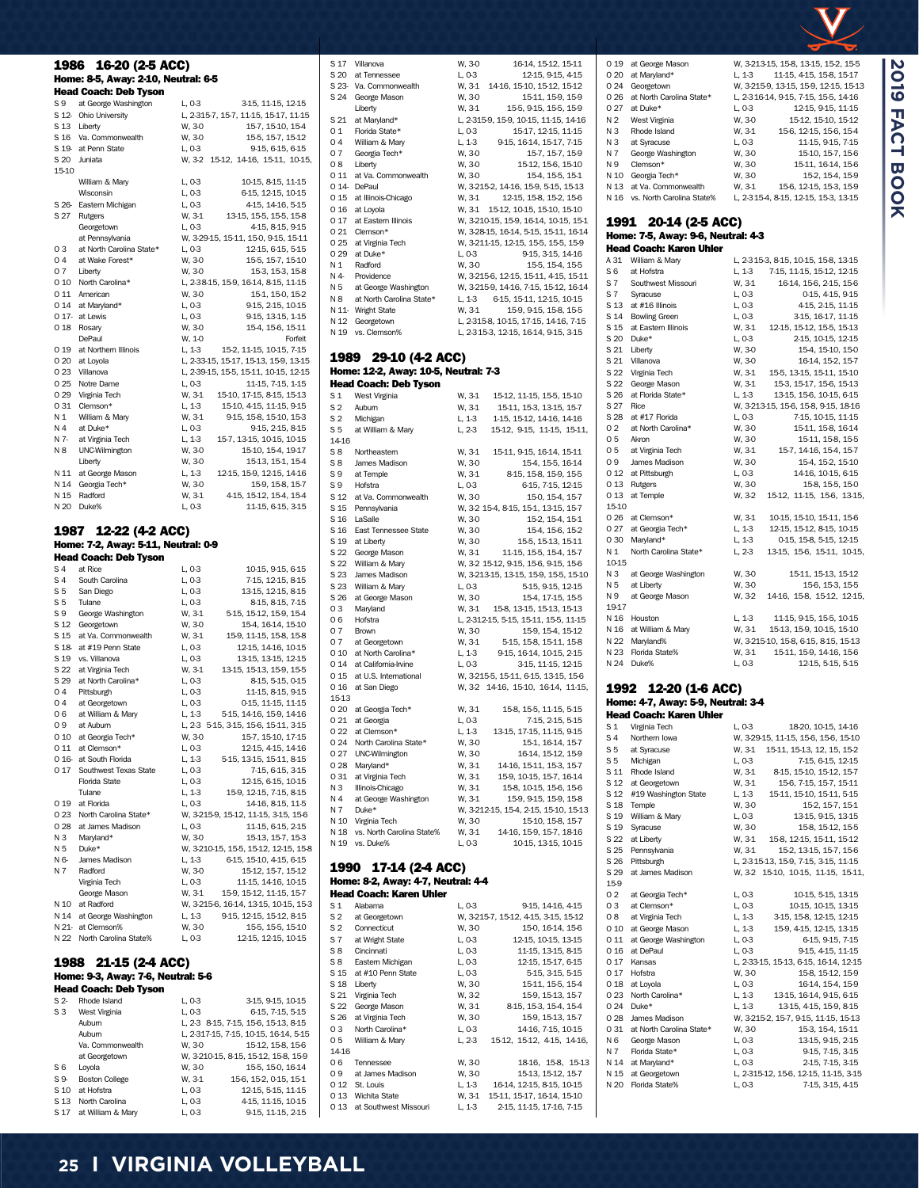| 1986                   | 16-20 (2-5 ACC)                                 |                                                                               |
|------------------------|-------------------------------------------------|-------------------------------------------------------------------------------|
|                        | Home: 8-5, Away: 2-10, Neutral: 6-5             |                                                                               |
|                        | <b>Head Coach: Deb Tyson</b>                    |                                                                               |
| S 9                    | at George Washington                            | L, 0-3<br>3-15, 11-15, 12-15                                                  |
|                        | S 12- Ohio University<br>S 13 Liberty           | L, 2-315-7, 15-7, 11-15, 15-17, 11-15<br>15-7, 15-10, 15-4<br>W, 3-0          |
|                        | S 16 Va. Commonwealth                           | W, 3-0<br>15-5, 15-7, 15-12                                                   |
|                        | S 19- at Penn State                             | L, 0-3<br>9-15, 6-15, 6-15                                                    |
|                        | S 20 Juniata                                    | W, 3-2 15-12, 14-16, 15-11, 10-15,                                            |
| 15-10                  | William & Mary                                  | 10-15, 8-15, 11-15<br>L, 0-3                                                  |
|                        | Wisconsin                                       | L, 0-3<br>6-15, 12-15, 10-15                                                  |
|                        | S 26- Eastern Michigan                          | L, 0-3<br>4-15, 14-16, 5-15                                                   |
| S 27                   | Rutgers                                         | W, 3-1<br>13-15, 15-5, 15-5, 15-8                                             |
|                        | Georgetown<br>at Pennsylvania                   | L, 0-3<br>4-15, 8-15, 9-15<br>W, 3-29-15, 15-11, 15-0, 9-15, 15-11            |
| 03                     | at North Carolina State*                        | 12-15, 6-15, 5-15<br>L, 0-3                                                   |
| 04                     | at Wake Forest*                                 | W, 3-0<br>155, 15-7, 15-10                                                    |
| 07                     | Liberty                                         | 15-3, 15-3, 15-8<br>W, 30                                                     |
|                        | 0 10 North Carolina*                            | L, 2-38-15, 15-9, 16-14, 8-15, 11-15                                          |
|                        | 0 11 American<br>0 14 at Maryland*              | 15-1, 15-0, 15-2<br>W, 3-0<br>9-15, 2-15, 10-15<br>L, 0-3                     |
|                        | O 17- at Lewis                                  | L, 0-3<br>9-15, 13-15, 1-15                                                   |
| 0 18                   | Rosary                                          | W, 3-0<br>15-4, 15-6, 15-11                                                   |
|                        | DePaul                                          | W, 1-0<br>Forfeit                                                             |
| 0 19                   | at Northern Illinois<br>O 20 at Loyola          | L, 1-3<br>15-2, 11-15, 10-15, 7-15<br>L, 2-33-15, 15-17, 15-13, 15-9, 13-15   |
|                        | O 23 Villanova                                  | L, 2-39-15, 15-5, 15-11, 10-15, 12-15                                         |
|                        | 0 25 Notre Dame                                 | L, 0-3<br>11-15, 7-15, 1-15                                                   |
| 0 29                   | Virginia Tech                                   | W, 3-1<br>15-10, 17-15, 8-15, 15-13                                           |
| 0 31<br>N <sub>1</sub> | Clemson*<br>William & Mary                      | L, 1-3<br>15-10, 4-15, 11-15, 9-15<br>W, 3-1                                  |
| N 4                    | at Duke*                                        | 9-15, 15-8, 15-10, 15-3<br>9-15, 2-15, 8-15<br>L, 0-3                         |
| N 7-                   | at Virginia Tech                                | L, 1-3<br>15-7, 13-15, 10-15, 10-15                                           |
| N 8                    | UNC-Wilmington                                  | 15-10, 15-4, 19-17<br>W, 3-0                                                  |
|                        | Liberty                                         | W, 3-0<br>15-13, 15-1, 15-4                                                   |
| N 11<br>N 14           | at George Mason<br>Georgia Tech*                | L, 1-3<br>12-15, 15-9, 12-15, 14-16<br>W, 3-0<br>15-9, 15-8, 15-7             |
| N 15                   | Radford                                         | W, 3-1<br>4-15, 15-12, 15-4, 15-4                                             |
| N 20                   | Duke%                                           | L, 0-3<br>11-15, 6-15, 3-15                                                   |
|                        |                                                 |                                                                               |
| 1987                   | 12-22 (4-2 ACC)                                 |                                                                               |
|                        | Home: 7-2, Away: 5-11, Neutral: 0-9             |                                                                               |
|                        | <b>Head Coach: Deb Tyson</b>                    |                                                                               |
| S 4<br>S 4             | at Rice<br>South Carolina                       | L, 0-3<br>10-15, 9-15, 6-15<br>L, 0-3<br>7-15, 12-15, 8-15                    |
| S5                     | San Diego                                       | L, 0-3<br>13-15, 12-15, 8-15                                                  |
| S5                     | Tulane                                          | L, 0-3<br>8-15, 8-15, 7-15                                                    |
| S 9                    | George Washington                               | 5-15, 15-12, 15-9, 15-4<br>W, 3-1                                             |
| S 12                   | Georgetown<br>S 15 at Va. Commonwealth          | 15-4, 16-14, 15-10<br>W, 3-0<br>15-9, 11-15, 15-8, 15-8<br>W, 3-1             |
|                        | S 18 at #19 Penn State                          | 12-15, 14-16, 10-15<br>L, 0-3                                                 |
|                        | S 19 vs. Villanova                              | 13-15, 13-15, 12-15<br>L, 0-3                                                 |
| S 22                   | at Virginia Tech                                | 13-15, 15-13, 15-9, 15-5<br>W, 3-1                                            |
| S 29<br>04             | at North Carolina*<br>Pittsburgh                | 8-15, 5-15, 0-15<br>L, 0-3<br>L, 0-3<br>11-15, 8-15, 9-15                     |
| 04                     | at Georgetown                                   | L, 0-3<br>0-15, 11-15, 11-15                                                  |
| 06                     | at William & Mary                               | L, 1-3<br>5-15, 14-16, 15-9, 14-16                                            |
| 09                     | at Auburn                                       | L, 2-3 5-15, 3-15, 15-6, 15-11, 3-15                                          |
|                        | 0 10 at Georgia Tech*<br>0 11 at Clemson*       | W, 3-0<br>15-7, 15-10, 17-15                                                  |
|                        | O 16- at South Florida                          | L, 0-3<br>12-15, 4-15, 14-16<br>L, 1-3<br>5-15, 13-15, 15-11, 8-15            |
|                        | 0 17 Southwest Texas State                      | 7-15, 6-15, 3-15<br>L, 0-3                                                    |
|                        | Florida State                                   | L, 0-3<br>12-15, 6-15, 10-15                                                  |
|                        | Tulane                                          | 15-9, 12-15, 7-15, 8-15<br>L, 1-3                                             |
| 0 19                   | at Florida<br>O 23 North Carolina State*        | L, 0-3<br>14-16, 8-15, 11-5<br>W, 3-215-9, 15-12, 11-15, 3-15, 15-6           |
|                        | O 28 at James Madison                           | L, 0-3<br>11-15, 6-15, 2-15                                                   |
|                        | N 3 Maryland*                                   | W, 3-0<br>15-13, 15-7, 15-3                                                   |
| N 5                    | Duke*                                           | W, 3-210-15, 15-5, 15-12, 12-15, 15-8                                         |
| N 6-<br>N 7            | James Madison<br>Radford                        | 6-15, 15-10, 4-15, 6-15<br>L, 1-3<br>15-12, 15-7, 15-12<br>W, 3-0             |
|                        | Virginia Tech                                   | 11-15, 14-16, 10-15<br>L, 0-3                                                 |
|                        | George Mason                                    | W, 3-1<br>15-9, 15-12, 11-15, 15-7                                            |
|                        | N 10 at Radford                                 | W, 3-215-6, 16-14, 13-15, 10-15, 15-3                                         |
|                        | N 14 at George Washington                       | L, 1-3<br>9-15, 12-15, 15-12, 8-15                                            |
|                        | N 21- at Clemson%<br>N 22 North Carolina State% | W, 3-0<br>155, 155, 1510<br>L, 0-3<br>12-15, 12-15, 10-15                     |
|                        |                                                 |                                                                               |
| 1988                   | 21-15 (2-4 ACC)                                 |                                                                               |
|                        | Home: 9-3, Away: 7-6, Neutral: 5-6              |                                                                               |
|                        | <b>Head Coach: Deb Tyson</b>                    |                                                                               |
| S 2-                   | Rhode Island                                    | L, 0-3<br>3-15, 9-15, 10-15                                                   |
| S3                     | West Virginia                                   | L, 0-3<br>6-15, 7-15, 5-15                                                    |
|                        | Aubum<br>Aubum                                  | L, 2-3 8-15, 7-15, 15-6, 15-13, 8-15<br>L, 2-317-15, 7-15, 10-15, 16-14, 5-15 |
|                        | Va. Commonwealth                                | 15-12, 15-8, 15-6<br>W, 3-0                                                   |
|                        | at Georgetown                                   | W, 3-210-15, 8-15, 15-12, 15-8, 15-9                                          |
| S6                     | Loyola                                          | W, 3-0<br>15-5, 15-0, 16-14                                                   |
| S 9-                   | <b>Boston College</b><br>S 10 at Hofstra        | W, 3-1<br>15-6, 15-2, 0-15, 15-1<br>12-15, 5-15, 11-15<br>L, 0-3              |

| 01             | Florida State*                                               | L, 0-3           | 15-17, 12-15, 11-15                                                            |
|----------------|--------------------------------------------------------------|------------------|--------------------------------------------------------------------------------|
| 04             | William & Mary                                               | L, 1-3           | 9-15, 16-14, 15-17, 7-15                                                       |
| 07<br>08       | Georgia Tech*<br>Liberty                                     | W, 30<br>W, 30   | 15-7, 15-7, 15-9<br>15-12, 15-6, 15-10                                         |
| 0 11           | at Va. Commonwealth                                          | W, 3-0           | 154, 155, 151                                                                  |
|                | 0 14 DePaul                                                  |                  | W, 3-215-2, 14-16, 15-9, 5-15, 15-13                                           |
| 0 15           | at Illinois-Chicago                                          | W, 3-1           | 12-15, 15-8, 15-2, 15-6                                                        |
| 0 16           | at Loyola<br>at Eastern Illinois                             |                  | W, 3-1 15-12, 10-15, 15-10, 15-10                                              |
| 0 17           | 0 21 Clemson*                                                |                  | W, 3-210-15, 15-9, 16-14, 10-15, 15-1<br>W, 3-28-15, 16-14, 5-15, 15-11, 16-14 |
| 0 25           | at Virginia Tech                                             |                  | W, 3-211-15, 12-15, 15-5, 15-5, 15-9                                           |
| 0 29           | at Duke*                                                     | L, 0-3           | 915, 315, 1416                                                                 |
| N 1            | Radford                                                      | W, 3-0           | 15-5, 15-4, 15-5                                                               |
| N 4            | Providence                                                   |                  | W, 3-215-6, 12-15, 15-11, 4-15, 15-11                                          |
| N 5<br>N 8     | at George Washington<br>at North Carolina State*             |                  | W, 3-215-9, 14-16, 7-15, 15-12, 16-14<br>L, 1-3 6-15, 15-11, 12-15, 10-15      |
|                | N 11- Wright State                                           | W, 3-1           | 15-9, 9-15, 15-8, 15-5                                                         |
|                | N 12 Georgetown                                              |                  | L, 2-315-8, 10-15, 17-15, 14-16, 7-15                                          |
|                | N 19 vs. Clemson%                                            |                  | L, 2-315-3, 12-15, 16-14, 9-15, 3-15                                           |
|                |                                                              |                  |                                                                                |
|                | 1989 29-10 (4-2 ACC)<br>Home: 12-2, Away: 10-5, Neutral: 7-3 |                  |                                                                                |
|                | <b>Head Coach: Deb Tyson</b>                                 |                  |                                                                                |
| S <sub>1</sub> | West Virginia                                                | W, 3-1           | 15-12, 11-15, 15-5, 15-10                                                      |
| S <sub>2</sub> | Aubum                                                        | W, 3-1           | 15-11, 15-3, 13-15, 15-7                                                       |
| S <sub>2</sub> | Michigan                                                     | L, 1-3           | 1-15, 15-12, 14-16, 14-16                                                      |
| S5             | at William & Mary                                            | L, 2-3           | 15-12, 9-15, 11-15, 15-11,                                                     |
| 14-16<br>S8    | Northeastern                                                 |                  | W, 3-1 15-11, 9-15, 16-14, 15-11                                               |
| S8             | James Madison                                                | W, 3-0           | 15-4, 15-5, 16-14                                                              |
| S 9            | at Temple                                                    | W, 3-1           | 8-15, 15-8, 15-9, 15-5                                                         |
| S 9            | Hofstra                                                      | L, 0-3           | 6-15, 7-15, 12-15                                                              |
|                | S 12 at Va. Commonwealth                                     | W, 3-0           | 15-0, 15-4, 15-7                                                               |
| S 16           | S 15 Pennsylvania<br>LaSalle                                 | W, 3-0           | W, 3-2 15-4, 8-15, 15-1, 13-15, 15-7<br>15-2, 15-4, 15-1                       |
|                | S 16 East Tennessee State                                    | W, 3-0           | 15-4, 15-6, 15-2                                                               |
| S 19           | at Liberty                                                   | W, 30            | 15-5, 15-13, 15-11                                                             |
|                | S 22 George Mason                                            | W. 3-1           | 11-15, 15-5, 15-4, 15-7                                                        |
|                | S 22 William & Mary                                          |                  | W, 3-2 15-12, 9-15, 15-6, 9-15, 15-6                                           |
| S 23           | James Madison                                                |                  | W, 3-213-15, 13-15, 15-9, 15-5, 15-10                                          |
| S 23<br>S 26   | William & Mary<br>at George Mason                            | L, 0-3<br>W, 30  | 5-15, 9-15, 12-15<br>154, 17-15, 15-5                                          |
| 03             | Maryland                                                     |                  | W, 3-1 15-8, 13-15, 15-13, 15-13                                               |
| 06             | Hofstra                                                      |                  | L, 2-312-15, 5-15, 15-11, 15-5, 11-15                                          |
| 07             | Brown                                                        | W, 30            | 15-9, 15-4, 15-12                                                              |
| 07             | at Georgetown                                                | W, 3-1           | 5-15, 15-8, 15-11, 15-8                                                        |
|                | 0 10 at North Carolina*<br>O 14 at California-Irvine         | L, 1-3<br>L, 0-3 | 9-15, 16-14, 10-15, 2-15<br>3-15, 11-15, 12-15                                 |
| 0 15           | at U.S. International                                        |                  | W, 3-215-5, 15-11, 6-15, 13-15, 15-6                                           |
| 0 16           | at San Diego                                                 |                  | W, 3-2 14-16, 15-10, 16-14, 11-15,                                             |
| 15-13          |                                                              |                  |                                                                                |
|                | O 20 at Georgia Tech*                                        | W, 3-1           | 15-8, 15-5, 11-15, 5-15                                                        |
| 0 21           | at Georgia<br>0 22 at Clemson*                               | L, 0-3<br>L, 1-3 | 7-15, 2-15, 5-15<br>13-15, 17-15, 11-15, 9-15                                  |
|                | 0 24 North Carolina State*                                   | W, 3-0           | 15-1, 16-14, 15-7                                                              |
|                | O 27 UNC-Wilmington                                          | W, 3-0           | 16-14, 15-12, 15-9                                                             |
| 0 28           | Maryland*                                                    | W, 3-1           | 14-16, 15-11, 15-3, 15-7                                                       |
| 031            | at Virginia Tech                                             | W, 3-1           | 15-9, 10-15, 15-7, 16-14                                                       |
| N 3            | Illinois-Chicago                                             | W, 3-1           | 15-8, 10-15, 15-6, 15-6                                                        |
| N 4<br>N 7     | at George Washington<br>Duke*                                | W, 3-1           | 15-9, 9-15, 15-9, 15-8<br>W, 3-212-15, 15-4, 2-15, 15-10, 15-13                |
|                | N 10 Virginia Tech                                           | W, 3-0           | 15-10, 15-8, 15-7                                                              |
|                | N 18 vs. North Carolina State%                               | W, 3-1           | 14-16, 15-9, 15-7, 18-16                                                       |
|                | N 19 vs. Duke%                                               | L, 0-3           | 10-15, 13-15, 10-15                                                            |
| 1990           | 17-14 (2-4 ACC)                                              |                  |                                                                                |
|                | Home: 8-2, Away: 4-7, Neutral: 4-4                           |                  |                                                                                |
|                | <b>Head Coach: Karen Uhler</b>                               |                  |                                                                                |
| S 1            | Alabama                                                      | L, 0-3           | 945, 1446, 445                                                                 |
| S <sub>2</sub> | at Georgetown                                                |                  | W, 3-215-7, 15-12, 4-15, 3-15, 15-12                                           |
| S <sub>2</sub> | Connecticut                                                  | W, 3-0           | 15-0, 16-14, 15-6                                                              |
| S 7<br>S8      | at Wright State<br>Cincinnati                                | L, 0-3<br>L, 0-3 | 12-15, 10-15, 13-15<br>11-15, 13-15, 8-15                                      |
|                | S 8 Eastern Michigan                                         | L, 0-3           | 12-15, 15-17, 6-15                                                             |
|                | S 15 at #10 Penn State                                       | L, 0-3           | 5-15, 3-15, 5-15                                                               |
|                | S 18 Liberty                                                 | W, 3-0           | 15-11, 15-5, 15-4                                                              |
|                | S 21 Virginia Tech                                           | W, 3-2           | 15-9, 15-13, 15-7                                                              |
|                | S 22 George Mason<br>S 26 at Virginia Tech                   | W, 3-1           | 8-15, 15-3, 15-4, 15-4                                                         |
| 03             | North Carolina*                                              | W, 3-0<br>L, 0-3 | 15-9, 15-13, 15-7<br>14-16, 7-15, 10-15                                        |
| 05             | William & Mary                                               |                  | L, 2-3 15-12, 15-12, 4-15, 14-16,                                              |
| 1416           |                                                              |                  |                                                                                |
| 06             | Tennessee                                                    | W, 30            | 1816, 15-8, 15-13                                                              |
| 09             | at James Madison<br>0 12 St. Louis                           | W, 30<br>L, 1-3  | 15-13, 15-12, 15-7<br>16-14, 12-15, 8-15, 10-15                                |
|                | 0 13 Wichita State                                           |                  | W, 31 15-11, 15-17, 16-14, 15-10                                               |
|                | 0 13 at Southwest Missouri                                   | L, 1-3           | 2-15, 11-15, 17-16, 7-15                                                       |
|                |                                                              |                  |                                                                                |

S 17 Villanova W, 3-0 16-14, 15-12, 15-11

S 23- Va. Commonwealth W, 3-1 14-16, 15-10, 15-12, 15-12<br>S 24 George Mason W, 3-0 15-11, 15-9, 15-9

Liberty W, 3-1 15-5, 9-15, 15-5, 15-9<br>S 21 at Maryland\* L, 2-315-9, 15-9, 10-15, 11-15, 14-16 S 21 at Maryland\* L, 23159, 159, 1015, 11-15, 14-16<br>
0 1 Florida State\* L, 0 3 15-17, 12-15, 11-15

S 20 at Tennessee

S 24 George Mason W, 3-0

| 0 20           | at Maryland*                       | L, 1-3 | 11-15, 4-15, 15-8, 15-17              |
|----------------|------------------------------------|--------|---------------------------------------|
| 0 24           | Georgetown                         |        | W, 3-215-9, 13-15, 15-9, 12-15, 15-13 |
| 026            | at North Carolina State*           |        | L, 2-3 16-14, 9-15, 7-15, 15-5, 14-16 |
| 027            | at Duke*                           | L, 0-3 | 12-15, 9-15, 11-15                    |
| N 2            | West Virginia                      | W, 3-0 | 15-12, 15-10, 15-12                   |
| N <sub>3</sub> | Rhode Island                       | W, 3-1 | 15-6, 12-15, 15-6, 15-4               |
| N3             |                                    |        |                                       |
| N 7            | at Syracuse                        | L, 0-3 | 11-15, 9-15, 7-15                     |
|                | George Washington                  | W, 3-0 | 15-10, 15-7, 15-6                     |
| N 9            | Clemson*                           | W. 3-0 | 15-11, 16-14, 15-6                    |
| N 10           | Georgia Tech*                      | W. 3-0 | 15-2, 15-4, 15-9                      |
| N 13           | at Va. Commonwealth                | W, 3-1 | 15-6, 12-15, 15-3, 15-9               |
| N 16           | vs. North Carolina State%          |        | L, 2-315-4, 8-15, 12-15, 15-3, 13-15  |
| 1991           | 20-14 (2-5 ACC)                    |        |                                       |
|                | Home: 7-5, Away: 9-6, Neutral: 4-3 |        |                                       |
|                | <b>Head Coach: Karen Uhler</b>     |        |                                       |
| A 31           | William & Mary                     |        | L, 2-315-3, 8-15, 10-15, 15-8, 13-15  |
| S6             | at Hofstra                         | L, 1-3 | 7-15, 11-15, 15-12, 12-15             |
| S 7            | Southwest Missouri                 | W, 3-1 | 16-14, 15-6, 2-15, 15-6               |
| S 7            | Syracuse                           | L, 0-3 | 0-15, 4-15, 9-15                      |
|                | S 13 at #16 Illinois               |        | 4-15, 2-15, 11-15                     |
|                |                                    | L, 0-3 |                                       |
| S 14           | <b>Bowling Green</b>               | L, 0-3 | 3-15, 16-17, 11-15                    |
| S 15           | at Eastern Illinois                | W, 3-1 | 12-15, 15-12, 15-5, 15-13             |
| S 20           | Duke*                              | L, 0-3 | 2-15, 10-15, 12-15                    |
| S 21           | Liberty                            | W, 3-0 | 15-4, 15-10, 15-0                     |
| S 21           | Villanova                          | W, 3-0 | 16-14, 15-2, 15-7                     |
| S 22           | Virginia Tech                      | W, 3-1 | 15-5, 13-15, 15-11, 15-10             |
| S 22           | George Mason                       | W, 3-1 | 15-3, 15-17, 15-6, 15-13              |
| S 26           | at Florida State*                  | L, 1-3 | 13-15, 15-6, 10-15, 6-15              |
| S 27           | Rice                               |        | W, 3-213-15, 15-6, 15-8, 9-15, 18-16  |
| S 28           | at #17 Florida                     | L, 0-3 | 7-15, 10-15, 11-15                    |
| 02             | at North Carolina*                 | W, 3-0 | 15-11, 15-8, 16-14                    |
| 05             | Akron                              | W. 3-0 | 15-11, 15-8, 15-5                     |
| 05             | at Virginia Tech                   | W, 3-1 | 15-7, 14-16, 15-4, 15-7               |
| 09             | James Madison                      | W, 3-0 | 15-4, 15-2, 15-10                     |
| 0 12           | at Pittsburgh                      | L, 0-3 | 14-16, 10-15, 6-15                    |
| 0 13           | Rutgers                            | W. 3-0 | 15-8, 15-5, 15-0                      |
| 0 13           | at Temple                          | W, 3-2 | 15-12, 11-15, 15-6, 13-15,            |
| 15-10          |                                    |        |                                       |
| 0 26           | at Clemson*                        | W, 3-1 | 10-15, 15-10, 15-11, 15-6             |
| 027            | at Georgia Tech*                   | L, 1-3 | 12-15, 15-12, 8-15, 10-15             |
| 030            | Maryland*                          | L, 1-3 | 0-15, 15-8, 5-15, 12-15               |
| N 1            | North Carolina State*              | L, 2-3 | 13-15, 15-6, 15-11, 10-15,            |
| 10-15          |                                    |        |                                       |
| NЗ             | at George Washington               | W, 3-0 | 15-11, 15-13, 15-12                   |
| N 5            | at Liberty                         | W. 3-0 | 15-6, 15-3, 15-5                      |
| N 9            | at George Mason                    | W, 3-2 | 14-16, 15-8, 15-12, 12-15,            |
| 19-17          |                                    |        |                                       |
| N 16           | Houston                            | L, 1-3 | 11-15, 9-15, 15-5, 10-15              |
| N 16           | at William & Mary                  | W, 3-1 | 15-13, 15-9, 10-15, 15-10             |
| N 22           | Maryland%                          |        | W, 3-215-10, 15-8, 6-15, 8-15, 15-13  |
| N 23           | Florida State%                     | W. 3-1 | 15-11, 15-9, 14-16, 15-6              |
| N 24           | Duke%                              | L. 0-3 | 12-15. 5-15. 5-15                     |

0 19 at George Mason W, 3-213-15, 15-8, 13-15, 15-2, 15-5<br>0 20 at Maryland\* L, 1-3 11-15, 4-15, 15-8, 15-17

**2019 FACT BOOK**

**2019 FACT BOOK** 

#### 1992 12-20 (1-6 ACC) Home: 4-7, Away: 5-9, Neutral: 3-4 Head Coach: Karen Uhler

| S <sub>1</sub>  | Virginia Tech            | L, 0-3 | 18-20, 10-15, 14-16                   |
|-----------------|--------------------------|--------|---------------------------------------|
| S 4             | Northern Iowa            |        | W, 3-29-15, 11-15, 15-6, 15-6, 15-10  |
| S 5             | at Syracuse              | W. 3-1 | 15-11, 15-13, 12, 15, 15-2            |
| S <sub>5</sub>  | Michigan                 | L, 0-3 | 7-15, 6-15, 12-15                     |
| S 11            | Rhode Island             | W. 3-1 | 8-15, 15-10, 15-12, 15-7              |
| S <sub>12</sub> | at Georgetown            | W, 3-1 | 15-6, 7-15, 15-7, 15-11               |
| S 12            | #19 Washington State     | L. 1-3 | 15-11, 15-10, 15-11, 5-15             |
| S 18            | Temple                   | W. 3-0 | 15-2, 15-7, 15-1                      |
| S 19            | William & Mary           | L, 0-3 | 13-15, 9-15, 13-15                    |
| S 19            | Syracuse                 | W. 3-0 | 158, 1512, 155                        |
| S 22            | at Liberty               | W. 3-1 | 15-8, 12-15, 15-11, 15-12             |
| S 25            | Pennsylvania             | W. 3-1 | 15-2, 13-15, 15-7, 15-6               |
| S 26            | Pittsburgh               |        | L, 2-315-13, 15-9, 7-15, 3-15, 11-15  |
| S 29            | at James Madison         | W. 3-2 | 15-10, 10-15, 11-15, 15-11,           |
| 15-9            |                          |        |                                       |
| 02              | at Georgia Tech*         | L, 0-3 | 10-15, 5-15, 13-15                    |
| 03              | at Clemson*              | L, 0-3 | 10-15, 10-15, 13-15                   |
| 08              | at Virginia Tech         | L, 1-3 | 3-15, 15-8, 12-15, 12-15              |
| 0 10            | at George Mason          | L, 1-3 | 15-9, 4-15, 12-15, 13-15              |
| 0 11            | at George Washington     | L, 0-3 | 6-15, 9-15, 7-15                      |
| 0 16            | at DePaul                | L, 0-3 | 9-15, 4-15, 11-15                     |
| 0 17            | Kansas                   |        | L, 2-33-15, 15-13, 6-15, 16-14, 12-15 |
| 0 17            | Hofstra                  | W, 3-0 | 15-8, 15-12, 15-9                     |
| 018             | at Loyola                | L. 0-3 | 16-14, 15-4, 15-9                     |
| 0 23            | North Carolina*          | L, 1-3 | 13-15, 16-14, 9-15, 6-15              |
| 0 24            | Duke*                    | L. 1-3 | 13-15, 4-15, 15-9, 8-15               |
| 0.28            | James Madison            |        | W, 3-215-2, 15-7, 9-15, 11-15, 15-13  |
| 0 31            | at North Carolina State* | W, 3-0 | 15-3, 15-4, 15-11                     |
| N 6             | George Mason             | L, 0-3 | 13-15, 9-15, 2-15                     |
| N 7             | Florida State*           | L, 0-3 | 9-15, 7-15, 3-15                      |
| N 14            | at Maryland*             | L, 0-3 | 2-15, 7-15, 3-15                      |
| N 15            | at Georgetown            |        | L, 2-315-12, 15-6, 12-15, 11-15, 3-15 |
| N 20            | Florida State%           | L, 0-3 | 7-15, 3-15, 4-15                      |
|                 |                          |        |                                       |

S 10 at Hofstra <br>S 13 North Carolina <br>L, 0-3 <br>4-15, 11-15, 10-15 S 13 North Carolina L, 0-3 4-15, 11-15, 10-15<br>S 17 at William & Mary L, 0-3 9-15, 11-15, 2-15

S 17 at William & Mary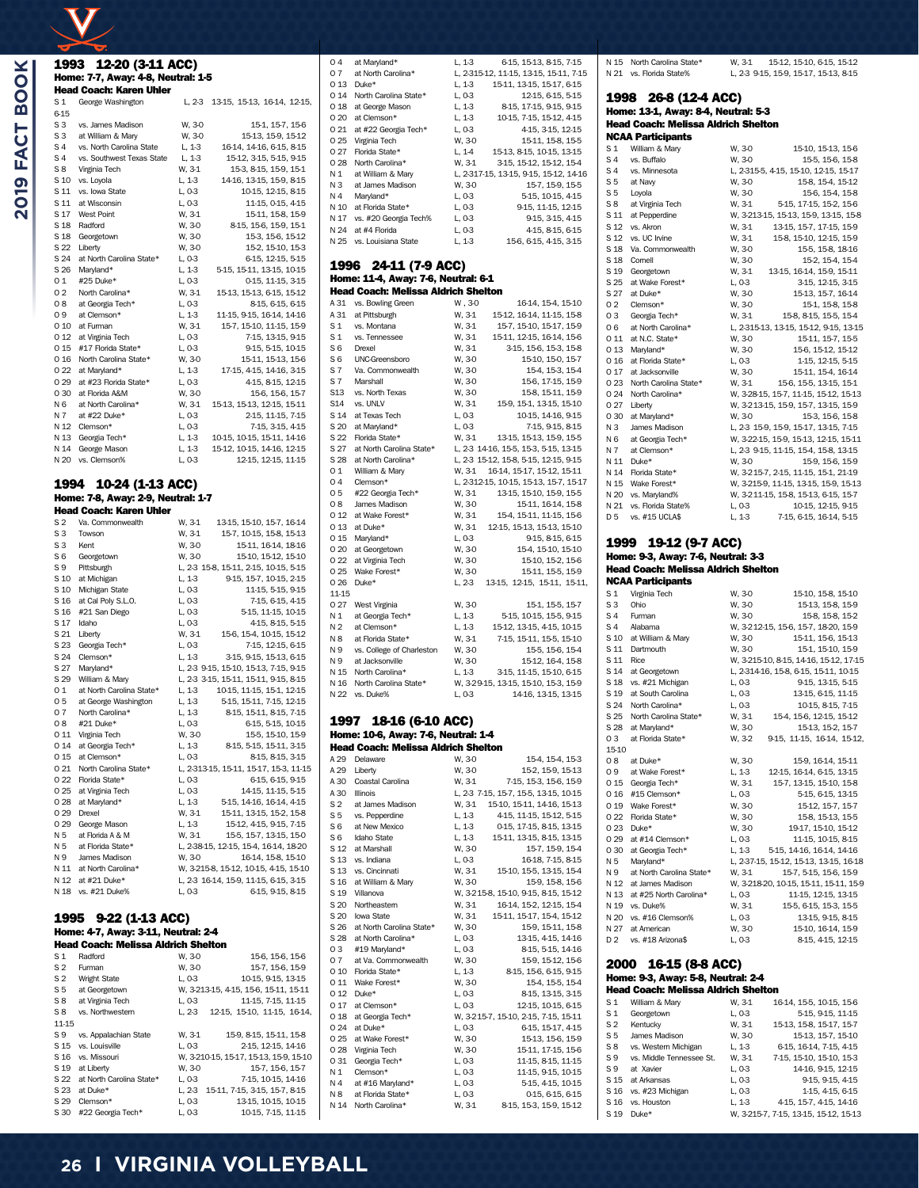$\overline{\mathbf{X}}$ 

|                       | 1993 12-20 (3-11 ACC)                                  |                  |                                                                  |
|-----------------------|--------------------------------------------------------|------------------|------------------------------------------------------------------|
|                       | Home: 7-7, Away: 4-8, Neutral: 1-5                     |                  |                                                                  |
|                       | <b>Head Coach: Karen Uhler</b>                         |                  |                                                                  |
| S 1<br>6-15           | George Washington                                      |                  | L, 2-3 13-15, 15-13, 16-14, 12-15,                               |
| S3                    | vs. James Madison                                      | W, 3-0           | 15-1, 15-7, 15-6                                                 |
| S 3                   | at William & Mary                                      | W, 3-0           | 15-13, 15-9, 15-12                                               |
| S 4                   | vs. North Carolina State                               | L, 1-3           | 16-14, 14-16, 6-15, 8-15                                         |
| S 4<br>S8             | vs. Southwest Texas State<br>Virginia Tech             | L, 1-3<br>W, 3-1 | 15-12, 3-15, 5-15, 9-15<br>15-3, 8-15, 15-9, 15-1                |
| S 10                  | vs. Loyola                                             | L, 1-3           | 14-16, 13-15, 15-9, 8-15                                         |
| S 11                  | vs. Iowa State                                         | L, 0-3           | 10-15, 12-15, 8-15                                               |
| S 11<br>S 17          | at Wisconsin<br><b>West Point</b>                      | L, 0-3<br>W, 3-1 | 11-15, 0-15, 4-15<br>15-11, 15-8, 15-9                           |
| S 18                  | Radford                                                | W, 3-0           | 8-15, 15-6, 15-9, 15-1                                           |
| S 18                  | Georgetown                                             | W, 30            | 153, 156, 1512                                                   |
| S 22                  | Liberty                                                | W, 30            | 15-2, 15-10, 15-3                                                |
| S 24<br>S 26          | at North Carolina State*<br>Maryland*                  | L, 0-3<br>L, 1-3 | 6-15, 12-15, 5-15<br>5-15, 15-11, 13-15, 10-15                   |
| 01                    | #25 Duke*                                              | L, 0-3           | 0-15, 11-15, 3-15                                                |
| 02                    | North Carolina*                                        | W, 3-1           | 15-13, 15-13, 6-15, 15-12                                        |
| 08<br>09              | at Georgia Tech*<br>at Clemson*                        | L, 0-3<br>L, 1-3 | 815, 615, 615<br>11-15, 9-15, 16-14, 14-16                       |
|                       | 0 10 at Furman                                         | W, 3-1           | 15-7, 15-10, 11-15, 15-9                                         |
|                       | O 12 at Virginia Tech                                  | L, 0-3           | 7-15, 13-15, 9-15                                                |
| 0 15                  | #17 Florida State*<br>0 16 North Carolina State*       | L, 0-3<br>W, 30  | 9-15, 5-15, 10-15<br>15-11, 15-13, 15-6                          |
|                       | 0 22 at Maryland*                                      | L, 1-3           | 17-15, 4-15, 14-16, 3-15                                         |
| 0 29                  | at #23 Florida State*                                  | L, 0-3           | 4-15, 8-15, 12-15                                                |
| N <sub>6</sub>        | O 30 at Florida A&M                                    | W, 3-0           | 15-6, 15-6, 15-7                                                 |
| N 7                   | at North Carolina*<br>at #22 Duke*                     | W, 3-1<br>L, 0-3 | 15-13, 15-13, 12-15, 15-11<br>2-15, 11-15, 7-15                  |
| N 12                  | Clemson*                                               | L, 0-3           | 7-15, 3-15, 4-15                                                 |
| N 13                  | Georgia Tech*                                          | L, 1-3           | 10-15, 10-15, 15-11, 14-16                                       |
| N 14                  | George Mason<br>N 20 vs. Clemson%                      | L, 1-3<br>L, 0-3 | 15-12, 10-15, 14-16, 12-15<br>12-15, 12-15, 11-15                |
|                       |                                                        |                  |                                                                  |
| 1994                  | 10-24 (1-13 ACC)                                       |                  |                                                                  |
|                       | Home: 7-8, Away: 2-9, Neutral: 1-7                     |                  |                                                                  |
| S <sub>2</sub>        | <b>Head Coach: Karen Uhler</b><br>Va. Commonwealth     | W, 3-1           | 13-15, 15-10, 15-7, 16-14                                        |
| S <sub>3</sub>        | Towson                                                 | W, 3-1           | 15-7, 10-15, 15-8, 15-13                                         |
| S3                    | Kent                                                   | W, 30            | 15-11, 16-14, 18-16                                              |
| S6<br>S9              | Georgetown                                             | W, 3-0           | 15-10, 15-12, 15-10                                              |
| S 10                  | Pittsburgh<br>at Michigan                              | L, 1-3           | L, 2-3 15-8, 15-11, 2-15, 10-15, 5-15<br>9-15, 15-7, 10-15, 2-15 |
| S 10                  | Michigan State                                         | L, 0-3           | 11-15, 5-15, 9-15                                                |
| S 16                  | at Cal Poly S.L.O.                                     | L, 0-3           | 7-15, 6-15, 4-15                                                 |
| S 16<br>S 17          | #21 San Diego<br>Idaho                                 | L, 0-3<br>L, 0-3 | 5-15, 11-15, 10-15<br>4-15, 8-15, 5-15                           |
| S 21                  | Liberty                                                | W, 3-1           | 15-6, 15-4, 10-15, 15-12                                         |
| S 23                  | Georgia Tech*                                          | L, 0-3           | 7-15, 12-15, 6-15                                                |
| S 24<br>S 27          | Clemson*<br>Maryland*                                  | L, 1-3           | 3-15, 9-15, 15-13, 6-15<br>L, 2-3 9-15, 15-10, 15-13, 7-15, 9-15 |
| S 29                  | William & Mary                                         |                  | L, 2-3 3-15, 15-11, 15-11, 9-15, 8-15                            |
| 01                    | at North Carolina State*                               | $L, 1-3$         | 10-15, 11-15, 15-1, 12-15                                        |
| 05<br>07              | at George Washington<br>North Carolina*                | L, 1-3<br>L, 1-3 | 5-15, 15-11, 7-15, 12-15<br>8-15, 15-11, 8-15, 7-15              |
| 08                    | #21 Duke*                                              | L, 0-3           | 6-15, 5-15, 10-15                                                |
| 0 11                  | Virginia Tech                                          | W, 30            | 15-5, 15-10, 15-9                                                |
| 0 14                  | at Georgia Tech*                                       | L, 1-3           | 8-15, 5-15, 15-11, 3-15                                          |
| 0 21                  | 0 15 at Clemson*<br>North Carolina State*              | L, 0-3           | 8-15, 8-15, 3-15<br>L, 2-313-15, 15-11, 15-17, 15-3, 11-15       |
|                       | 0 22 Florida State*                                    | L, 0-3           | 6-15, 6-15, 9-15                                                 |
|                       | O 25 at Virginia Tech                                  | L, 0-3           | 14-15, 11-15, 5-15                                               |
| 0 29                  | 0 28 at Maryland*<br>Drexel                            | L, 1-3<br>W. 3-1 | 5-15, 14-16, 16-14, 4-15<br>15-11, 13-15, 15-2, 15-8             |
|                       | O 29 George Mason                                      | L, 1-3           | 15-12, 4-15, 9-15, 7-15                                          |
| N 5                   | at Florida A & M                                       | W, 3-1           | 15-5, 15-7, 13-15, 15-0                                          |
| N 5                   | at Florida State*                                      | W, 3-0           | L, 2-38-15, 12-15, 15-4, 16-14, 18-20                            |
| N 9                   | James Madison<br>N 11 at North Carolina*               |                  | 16-14, 15-8, 15-10<br>W, 3-215-8, 15-12, 10-15, 4-15, 15-10      |
|                       | N 12 at #21 Duke*                                      |                  | L, 2-3 16-14, 15-9, 11-15, 6-15, 3-15                            |
|                       | N 18 vs. #21 Duke%                                     | L, 0-3           | 6-15, 9-15, 8-15                                                 |
|                       |                                                        |                  |                                                                  |
| 1995                  | 9-22 (1-13 ACC)<br>Home: 4-7, Away: 3-11, Neutral: 2-4 |                  |                                                                  |
|                       | <b>Head Coach: Melissa Aldrich Shelton</b>             |                  |                                                                  |
| S <sub>1</sub>        | Radford                                                | W, 3-0           | 15-6, 15-6, 15-6                                                 |
| S <sub>2</sub>        | Furman                                                 | W, 30            | 15-7, 15-6, 15-9                                                 |
| S <sub>2</sub><br>S 5 | <b>Wright State</b><br>at Georgetown                   | L, 0-3           | 10-15, 9-15, 13-15<br>W, 3-213-15, 4-15, 15-6, 15-11, 15-11      |
| S 8                   | at Virginia Tech                                       | L, 0-3           | 11-15, 7-15, 11-15                                               |
| S 8                   | vs. Northwestern                                       | L, 2-3           | 12-15, 15-10, 11-15, 16-14,                                      |
| 11-15<br>S 9          | vs. Appalachian State                                  | W, 3-1           | 15-9, 8-15, 15-11, 15-8                                          |
|                       | S 15 vs. Louisville                                    | L, 0-3           | 2-15, 12-15, 14-16                                               |
|                       | S 16 vs. Missouri                                      |                  | W, 3-210-15, 15-17, 15-13, 15-9, 15-10                           |

|                |                                            |                  |                                        | 0 20           | at Clemson*                               | $L, 1-3$               |
|----------------|--------------------------------------------|------------------|----------------------------------------|----------------|-------------------------------------------|------------------------|
| S <sub>3</sub> | vs. James Madison                          | W, 3-0           | 15-1, 15-7, 15-6                       |                | O 21 at #22 Georgia Tech*                 | L, 0-3                 |
| S <sub>3</sub> | at William & Mary                          | W, 3-0           | 15-13, 15-9, 15-12                     |                |                                           |                        |
| S 4            | vs. North Carolina State                   | L, 1-3           | 16-14, 14-16, 6-15, 8-15               | 0 25           | Virginia Tech                             | W, 3-0                 |
| S 4            | vs. Southwest Texas State                  | L, 1-3           | 15-12, 3-15, 5-15, 9-15                | 0 27           | Florida State*                            | $L, 1-4$               |
|                |                                            |                  |                                        |                | 0 28 North Carolina*                      | W, 3-1                 |
| S8             | Virginia Tech                              | W. 3-1           | 15-3, 8-15, 15-9, 15-1                 | N 1            | at William & Mary                         | L, 2-317-15            |
| S 10           | vs. Loyola                                 | L, 1-3           | 14-16, 13-15, 15-9, 8-15               | N3             | at James Madison                          | W, 3-0                 |
| S 11           | vs. Iowa State                             | L, 0-3           | 10-15, 12-15, 8-15                     | Ν4             | Maryland*                                 | L, 0-3                 |
| S 11           | at Wisconsin                               | L, 0-3           | 11-15, 0-15, 4-15                      | N 10           | at Florida State*                         | L, 0-3                 |
| S 17           | <b>West Point</b>                          | W, 3-1           | 15-11, 15-8, 15-9                      |                |                                           |                        |
|                | S 18 Radford                               | W, 3-0           | 8-15, 15-6, 15-9, 15-1                 | N 17           | vs. #20 Georgia Tech%                     | L, 0-3                 |
|                |                                            |                  |                                        | N 24           | at #4 Florida                             | L, 0-3                 |
| S 18           | Georgetown                                 | W, 3-0           | 153, 156, 1512                         |                | N 25 vs. Louisiana State                  | $L, 1-3$               |
| S 22           | Liberty                                    | W, 3-0           | 15-2, 15-10, 15-3                      |                |                                           |                        |
| S 24           | at North Carolina State*                   | L, 0-3           | 6-15, 12-15, 5-15                      |                |                                           |                        |
| S 26           | Maryland*                                  | L, 1-3           | 5-15, 15-11, 13-15, 10-15              |                | 1996 24-11 (7-9 ACC)                      |                        |
| 01             | #25 Duke*                                  | L, 0-3           | 0-15, 11-15, 3-15                      |                | Home: 11-4, Away: 7-6, Neutral: 6-1       |                        |
| 02             | North Carolina*                            | W, 3-1           | 15-13, 15-13, 6-15, 15-12              |                | <b>Head Coach: Melissa Aldrich Shelto</b> |                        |
|                |                                            |                  |                                        |                |                                           |                        |
| 08             | at Georgia Tech*                           | L, 0-3           | 815, 615, 615                          |                | A 31 vs. Bowling Green                    | W, 3-0                 |
| 09             | at Clemson*                                | $L, 1-3$         | 11-15, 9-15, 16-14, 14-16              | A 31           | at Pittsburgh                             | W, 3-1                 |
|                | 0 10 at Furman                             | W, 3-1           | 15-7, 15-10, 11-15, 15-9               | S <sub>1</sub> | vs. Montana                               | W, 3-1                 |
|                | O 12 at Virginia Tech                      | L, 0-3           | 7-15, 13-15, 9-15                      | S <sub>1</sub> | vs. Tennessee                             | W, 3-1                 |
|                | O 15 #17 Florida State*                    | L, 0-3           | 9-15, 5-15, 10-15                      | S6             | Drexel                                    | W, 3-1                 |
|                |                                            |                  |                                        | S6             | <b>UNC-Greensboro</b>                     | W, 3-0                 |
|                | 0 16 North Carolina State*                 | W, 3-0           | 15-11, 15-13, 15-6                     |                |                                           |                        |
|                | 0 22 at Maryland*                          | L, 1-3           | 17-15, 4-15, 14-16, 3-15               | S 7            | Va. Commonwealth                          | W, 3-0                 |
| 0 29           | at #23 Florida State*                      | L, 0-3           | 4-15, 8-15, 12-15                      | S 7            | Marshall                                  | W, 3-0                 |
| 030            | at Florida A&M                             | W, 3-0           | 15-6, 15-6, 15-7                       | S13            | vs. North Texas                           | W, 3-0                 |
| N 6            | at North Carolina*                         | W, 3-1           | 15-13, 15-13, 12-15, 15-11             | S14            | vs. UNLV                                  | W, 3-1                 |
| N 7            | at #22 Duke*                               | L, 0-3           | 2-15, 11-15, 7-15                      | S 14           | at Texas Tech                             | L, 0-3                 |
|                |                                            |                  |                                        |                |                                           |                        |
|                | N 12 Clemson*                              | L, 0-3           | 7-15, 3-15, 4-15                       | S 20           | at Maryland*                              | L, 0-3                 |
|                | N 13 Georgia Tech*                         | L, 1-3           | 10-15, 10-15, 15-11, 14-16             | S 22           | Florida State*                            | W, 3-1                 |
| N 14           | George Mason                               | $L, 1-3$         | 15-12, 10-15, 14-16, 12-15             | S 27           | at North Carolina State*                  | L, 2-3 14-1            |
|                | N 20 vs. Clemson%                          | L, 0-3           | 12-15, 12-15, 11-15                    | S 28           | at North Carolina*                        | L. 2-3 15-1:           |
|                |                                            |                  |                                        | 01             | William & Mary                            | W, 3-1<br>$\mathbf{1}$ |
|                |                                            |                  |                                        |                |                                           |                        |
|                | 1994 10-24 (1-13 ACC)                      |                  |                                        | 04             | Clemson*                                  | L, 2-312-15            |
|                | Home: 7-8, Away: 2-9, Neutral: 1-7         |                  |                                        | 05             | #22 Georgia Tech*                         | W, 3-1                 |
|                |                                            |                  |                                        | 08             | James Madison                             | W, 30                  |
|                | <b>Head Coach: Karen Uhler</b>             |                  |                                        |                | 0 12 at Wake Forest*                      | W, 3-1                 |
| S <sub>2</sub> | Va. Commonwealth                           | W. 3-1           | 13-15, 15-10, 15-7, 16-14              |                | 0 13 at Duke*                             | $\mathbf{1}$           |
| S <sub>3</sub> | Towson                                     | W, 3-1           | 15-7, 10-15, 15-8, 15-13               |                |                                           | W, 3-1                 |
| S <sub>3</sub> | Kent                                       | W, 30            | 15-11, 16-14, 18-16                    | 0 15           | Maryland*                                 | L, 0-3                 |
|                |                                            |                  |                                        | 0 20           | at Georgetown                             | W, 3-0                 |
| S <sub>6</sub> | Georgetown                                 | W, 3-0           | 15-10, 15-12, 15-10                    | 0 22           | at Virginia Tech                          | W, 3-0                 |
| S9             | Pittsburgh                                 |                  | L, 2-3 15-8, 15-11, 2-15, 10-15, 5-15  | 0 25           | Wake Forest*                              | W, 3-0                 |
| S 10           | at Michigan                                | L, 1-3           | 9-15, 15-7, 10-15, 2-15                |                | 0 26 Duke*                                | 13                     |
| S 10           | Michigan State                             | L, 0-3           | 11-15, 5-15, 9-15                      |                |                                           | L, 2-3                 |
| S 16           | at Cal Poly S.L.O.                         |                  |                                        | 11-15          |                                           |                        |
|                |                                            | L, 0-3           | 7-15, 6-15, 4-15                       |                | 0 27 West Virginia                        | W, 3-0                 |
| S 16           | #21 San Diego                              | L, 0-3           | 5-15, 11-15, 10-15                     | N 1            | at Georgia Tech*                          | L, 1-3                 |
| S 17           | Idaho                                      | L, 0-3           | 4-15, 8-15, 5-15                       | N 2            | at Clemson*                               | L, 1-3                 |
|                | S 21 Liberty                               | W, 3-1           | 15-6, 15-4, 10-15, 15-12               | N 8            |                                           |                        |
| S 23           | Georgia Tech*                              | L, 0-3           | 7-15, 12-15, 6-15                      |                | at Florida State*                         | W, 3-1                 |
| S 24           |                                            |                  |                                        | N 9            | vs. College of Charleston                 | W, 3-0                 |
|                | Clemson*                                   | $L, 1-3$         | 3-15, 9-15, 15-13, 6-15                | N 9            | at Jacksonville                           | W, 3-0                 |
| S 27           |                                            |                  |                                        |                |                                           |                        |
|                | Maryland*                                  |                  | L, 2-3 9-15, 15-10, 15-13, 7-15, 9-15  | N 15           | North Carolina*                           |                        |
| S 29           | William & Mary                             |                  | L, 2-3 3-15, 15-11, 15-11, 9-15, 8-15  |                |                                           | L, 1-3                 |
| 01             | at North Carolina State*                   | $L, 1-3$         | 10-15, 11-15, 15-1, 12-15              | N 16           | North Carolina State*                     | W, 3-29-15             |
|                |                                            |                  |                                        |                | N 22 vs. Duke%                            | L, 0-3                 |
| 05             | at George Washington                       | L, 1-3           | 5-15, 15-11, 7-15, 12-15               |                |                                           |                        |
| 07             | North Carolina*                            | L, 1-3           | 8-15, 15-11, 8-15, 7-15                |                |                                           |                        |
| 08             | #21 Duke*                                  | L, 0-3           | 6-15, 5-15, 10-15                      | 1997           | 18-16 (6-10 ACC)                          |                        |
| 0 11           | Virginia Tech                              | W, 3-0           | 15-5, 15-10, 15-9                      |                | Home: 10-6, Away: 7-6, Neutral: 1-4       |                        |
| 0 14           | at Georgia Tech*                           | $L, 1-3$         | 8-15, 5-15, 15-11, 3-15                |                |                                           |                        |
|                |                                            |                  |                                        |                | <b>Head Coach: Melissa Aldrich Shelto</b> |                        |
| 0 15           | at Clemson*                                | L, 0-3           | 8-15, 8-15, 3-15                       | A 29           | Delaware                                  | W. 30                  |
|                | O 21 North Carolina State*                 |                  | L, 2-313-15, 15-11, 15-17, 15-3, 11-15 | A 29           | Liberty                                   | W. 3-0                 |
|                | O 22 Florida State*                        | L, 0-3           | 6-15, 6-15, 9-15                       | A 30           | Coastal Carolina                          | W, 3-1                 |
| 0 25           | at Virginia Tech                           | L, 0-3           | 14-15, 11-15, 5-15                     | A 30           | Illinois                                  | L, 2-3 7-15            |
| 0.28           | at Maryland*                               | L, 1-3           | 5-15, 14-16, 16-14, 4-15               | S 2            |                                           | $\mathbf{1}$           |
| 029            | Drexel                                     | W, 3-1           | 15-11, 13-15, 15-2, 15-8               |                | at James Madison                          | W, 3-1                 |
| 0 29           |                                            |                  |                                        | S5             | vs. Pepperdine                            | L, 1-3                 |
|                | George Mason                               | L, 1-3           | 15-12, 4-15, 9-15, 7-15                | S6             | at New Mexico                             | L, 1-3                 |
| N 5            | at Florida A & M                           | W, 3-1           | 15-5, 15-7, 13-15, 15-0                | S6             | Idaho State                               | L, 1-3                 |
| N 5            | at Florida State*                          |                  | L, 2-38-15, 12-15, 15-4, 16-14, 18-20  | S 12           | at Marshall                               | W, 3-0                 |
| N 9            | James Madison                              | W. 3-0           | 1614, 15-8, 15-10                      | S 13           | vs. Indiana                               | L, 0-3                 |
| N 11           | at North Carolina*                         |                  | W, 3-215-8, 15-12, 10-15, 4-15, 15-10  |                |                                           |                        |
|                |                                            |                  |                                        | S 13           | vs. Cincinnati                            | W, 3-1                 |
| N 12           | at #21 Duke*                               |                  | L, 2-3 16-14, 15-9, 11-15, 6-15, 3-15  | S 16           | at William & Mary                         | W, 3-0                 |
|                | N 18 vs. #21 Duke%                         | L, 0-3           | 6-15, 9-15, 8-15                       | S 19           | Villanova                                 | W, 3-215-8             |
|                |                                            |                  |                                        | S 20           | Northeastern                              | W, 3-1                 |
|                |                                            |                  |                                        | S 20           | Iowa State                                |                        |
| 1995           | 9-22 (1-13 ACC)                            |                  |                                        |                |                                           | W, 3-1                 |
|                | Home: 4-7, Away: 3-11, Neutral: 2-4        |                  |                                        | S 26           | at North Carolina State*                  | W, 3-0                 |
|                |                                            |                  |                                        |                | S 28 at North Carolina*                   | L, 0-3                 |
|                | <b>Head Coach: Melissa Aldrich Shelton</b> |                  |                                        | 03             | #19 Maryland*                             | L, 0-3                 |
| S 1            | Radford                                    | W. 3-0           | 15-6, 15-6, 15-6                       | 07             | at Va. Commonwealth                       | W, 3-0                 |
| S2             | Furman                                     | W, 3-0           | 15-7, 15-6, 15-9                       |                | 0 10 Florida State*                       |                        |
| S2             | <b>Wright State</b>                        | L, 0.3           | 10-15, 9-15, 13-15                     |                |                                           | L, 1-3                 |
|                |                                            |                  |                                        |                | 0 11 Wake Forest*                         | W, 3-0                 |
| S5             | at Georgetown                              |                  | W, 3-213-15, 4-15, 15-6, 15-11, 15-11  |                | 0 12 Duke*                                | L, 0-3                 |
| S8             | at Virginia Tech                           | L, 0-3           | 11-15, 7-15, 11-15                     | 0 17           | at Clemson*                               | L, 0-3                 |
| S8             | vs. Northwestern                           | L, 2-3           | 12-15, 15-10, 11-15, 16-14,            |                |                                           | W, 3-215-7             |
| 11-15          |                                            |                  |                                        |                | 0 18 at Georgia Tech*                     |                        |
| S9             | vs. Appalachian State                      | W, 3-1           | 15-9, 8-15, 15-11, 15-8                | 0 24           | at Duke*                                  | L, 0-3                 |
|                |                                            |                  |                                        | 0 25           | at Wake Forest*                           | W, 30                  |
| S 15           | vs. Louisville                             | L, 0.3           | 2-15, 12-15, 14-16                     |                | 0 28 Virginia Tech                        | W, 30                  |
| S 16           | vs. Missouri                               |                  | W, 3-210-15, 15-17, 15-13, 15-9, 15-10 |                | O 31 Georgia Tech*                        | L, 0-3                 |
| S 19<br>S 22   | at Liberty<br>at North Carolina State*     | W, 3-0<br>L, 0-3 | 15-7, 15-6, 15-7<br>7-15, 10-15, 14-16 | N <sub>1</sub> | Clemson*                                  | L, 0-3                 |

| 04                    | at Maryland*                                           | L, 1-3                                           | 6-15, 15-13, 8-15, 7-15                             |
|-----------------------|--------------------------------------------------------|--------------------------------------------------|-----------------------------------------------------|
| 07                    | at North Carolina*                                     | L, 2-315-12, 11-15, 13-15, 15-11, 7-15           |                                                     |
| 0 13                  | Duke*                                                  | L, 1-3<br>15-11, 13-15, 15-17, 6-15              |                                                     |
| 0 14                  | North Carolina State*                                  | L, 0-3                                           | 12-15, 6-15, 5-15                                   |
| 0 18<br>0 20          | at George Mason<br>at Clemson*                         | L, 1-3<br>L, 1-3                                 | 8-15, 17-15, 9-15, 9-15<br>10-15, 7-15, 15-12, 4-15 |
| 0 21                  | at #22 Georgia Tech*                                   | L, 0-3                                           | 4-15, 3-15, 12-15                                   |
| 0 25                  | Virginia Tech                                          | W, 3-0                                           | 15-11, 15-8, 15-5                                   |
| 0 27                  | Florida State*                                         | L, 1-4<br>15-13, 8-15, 10-15, 13-15              |                                                     |
| 0 28                  | North Carolina*                                        | W, 3-1                                           | 3-15, 15-12, 15-12, 15-4                            |
| N 1                   | at William & Mary                                      | L, 2-317-15, 13-15, 9-15, 15-12, 14-16           |                                                     |
| NЗ                    | at James Madison                                       | W, 3-0                                           | 15-7, 15-9, 15-5                                    |
| N 4                   | Maryland*                                              | L, 0-3                                           | 5-15, 10-15, 4-15                                   |
| N 10<br>N 17          | at Florida State*<br>vs. #20 Georgia Tech%             | L, 0-3<br>L, 0-3                                 | 9-15, 11-15, 12-15<br>9-15, 3-15, 4-15              |
| N 24                  | at #4 Florida                                          | L, 0-3                                           | 4-15, 8-15, 6-15                                    |
| N 25                  | vs. Louisiana State                                    | L, 1-3                                           | 15-6, 6-15, 4-15, 3-15                              |
|                       |                                                        |                                                  |                                                     |
|                       | 1996 24-11 (7-9 ACC)                                   |                                                  |                                                     |
|                       | Home: 11-4, Away: 7-6, Neutral: 6-1                    |                                                  |                                                     |
|                       | <b>Head Coach: Melissa Aldrich Shelton</b>             |                                                  |                                                     |
| A 31                  | vs. Bowling Green                                      | W, 3-0                                           | 16-14, 15-4, 15-10                                  |
| A 31                  | at Pittsburgh                                          | W, 3-1<br>15-12, 16-14, 11-15, 15-8              |                                                     |
| S <sub>1</sub>        | vs. Montana                                            | W, 3-1                                           | 15-7, 15-10, 15-17, 15-9                            |
| S 1                   | vs. Tennessee                                          | W, 3-1<br>15-11, 12-15, 16-14, 15-6              |                                                     |
| S <sub>6</sub>        | Drexel                                                 | W, 3-1                                           | 3-15, 15-6, 15-3, 15-8                              |
| S 6<br>S <sub>7</sub> | UNC-Greensboro                                         | W, 3-0                                           | 15-10, 15-0, 15-7<br>15-4, 15-3, 15-4               |
| S 7                   | Va. Commonwealth<br>Marshall                           | W, 3-0<br>W, 3-0                                 | 15-6, 17-15, 15-9                                   |
| S13                   | vs. North Texas                                        | W, 3-0                                           | 15-8, 15-11, 15-9                                   |
| S14                   | vs. UNLV                                               | W, 3-1                                           | 15-9, 15-1, 13-15, 15-10                            |
| S 14                  | at Texas Tech                                          | L, 0-3                                           | 10-15, 14-16, 9-15                                  |
|                       | S 20 at Maryland*                                      | L, 0-3                                           | 7-15, 9-15, 8-15                                    |
| S 22                  | Florida State*                                         | W. 3-1                                           | 13-15, 15-13, 15-9, 15-5                            |
| S 27                  | at North Carolina State*                               | L, 2-3 14-16, 15-5, 15-3, 5-15, 13-15            |                                                     |
| S 28                  | at North Carolina*                                     | L, 2-3 15-12, 15-8, 5-15, 12-15, 9-15            |                                                     |
| 01<br>04              | William & Mary<br>Clemson*                             | W. 3-1<br>16-14, 15-17, 15-12, 15-11             |                                                     |
| 05                    | #22 Georgia Tech*                                      | L, 2-312-15, 10-15, 15-13, 15-7, 15-17<br>W, 3-1 | 1315, 15-10, 15-9, 15-5                             |
| 08                    | James Madison                                          | W, 3-0                                           | 15-11, 16-14, 15-8                                  |
|                       | 0 12 at Wake Forest*                                   | W, 3-1                                           | 154, 15-11, 11-15, 15-6                             |
| 0 13                  | at Duke*                                               | W, 3-1 12-15, 15-13, 15-13, 15-10                |                                                     |
| 0 15                  | Maryland*                                              | L, 0-3                                           | 9-15, 8-15, 6-15                                    |
| 0 20                  | at Georgetown                                          | W, 3-0                                           | 154, 1510, 1510                                     |
| 0 22                  | at Virginia Tech                                       | W, 3-0                                           | 15-10, 15-2, 15-6                                   |
| 0 25                  | Wake Forest*                                           | W, 3-0                                           | 15-11, 15-5, 15-9                                   |
| 0 26<br>11-15         | Duke*                                                  | 13-15, 12-15, 15-11, 15-11,<br>L, 2-3            |                                                     |
| 0 27                  | West Virginia                                          | W, 3-0                                           | 15-1, 15-5, 15-7                                    |
| N 1                   | at Georgia Tech*                                       | L, 1-3                                           | 5-15, 10-15, 15-5, 9-15                             |
| N 2                   | at Clemson*                                            | 15-12, 13-15, 4-15, 10-15<br>L, 1-3              |                                                     |
| N 8                   | at Florida State*                                      | W, 3-1                                           | 7-15, 15-11, 15-5, 15-10                            |
| N 9                   | vs. College of Charleston                              | W, 3-0                                           | 15-5, 15-6, 15-4                                    |
| N 9                   | at Jacksonville                                        | W, 3-0                                           | 15-12, 16-4, 15-8                                   |
| N 15                  | North Carolina*                                        | L, 1-3                                           | 3-15, 11-15, 15-10, 6-15                            |
|                       | N 16 North Carolina State*<br>N 22 vs. Duke%           | W, 3-29-15, 13-15, 15-10, 15-3, 15-9<br>L, 0-3   | 14-16, 13-15, 13-15                                 |
|                       |                                                        |                                                  |                                                     |
|                       |                                                        |                                                  |                                                     |
| 1997                  | 18-16 (6-10 ACC)                                       |                                                  |                                                     |
|                       | Home: 10-6, Away: 7-6, Neutral: 1-4                    |                                                  |                                                     |
| A 29                  | <b>Head Coach: Melissa Aldrich Shelton</b><br>Delaware | W, 3-0                                           | 15-4, 15-4, 15-3                                    |
| A 29                  | Liberty                                                | W, 3-0                                           | 15-2, 15-9, 15-13                                   |
| A 30                  | Coastal Carolina                                       | W, 3-1                                           | 7-15, 15-3, 15-6, 15-9                              |
| A 30                  | Illinois                                               | L, 2-3 7-15, 15-7, 15-5, 13-15, 10-15            |                                                     |
| S 2                   | at James Madison                                       | W, 3-1<br>15-10, 15-11, 14-16, 15-13             |                                                     |
| S5                    | vs. Pepperdine                                         | L, 1-3                                           | 4-15, 11-15, 15-12, 5-15                            |
| S 6                   | at New Mexico                                          | L, 1-3                                           | 0-15, 17-15, 8-15, 13-15                            |
| S 6                   | Idaho State                                            | $L. 1-3$                                         | 15-11, 13-15, 8-15, 13-15                           |
| S 12                  | at Marshall                                            | W, 3-0                                           | 15-7, 15-9, 15-4                                    |
| S 13                  | vs. Indiana<br>S 13 vs. Cincinnati                     | L, 0-3<br>W, 3-1                                 | 16-18, 7-15, 8-15<br>15-10, 15-5, 13-15, 15-4       |
| S 16                  | at William & Mary                                      | W, 3-0                                           | 15-9, 15-8, 15-6                                    |
| S 19                  | Villanova                                              | W, 3-215-8, 15-10, 9-15, 8-15, 15-12             |                                                     |
| S 20                  | Northeastern                                           | W, 3-1                                           | 16-14, 15-2, 12-15, 15-4                            |
| S 20                  | Iowa State                                             | W, 3-1                                           | 15-11, 15-17, 15-4, 15-12                           |
| S 26                  | at North Carolina State*                               | W, 3-0                                           | 15-9, 15-11, 15-8                                   |
| S 28                  | at North Carolina*                                     | L, 0-3                                           | 13-15, 4-15, 14-16                                  |
| 03                    | #19 Maryland*                                          | L, 0-3                                           | 8-15, 5-15, 14-16                                   |
| 07                    | at Va. Commonwealth                                    | W, 3-0                                           | 15-9, 15-12, 15-6                                   |
| 0 10                  | Florida State*                                         | L, 1-3                                           | 8-15, 15-6, 6-15, 9-15                              |
| 0 11                  | Wake Forest*<br>0 12 Duke*                             | W, 3-0<br>L, 0-3                                 | 15-4, 15-5, 15-4<br>8-15, 13-15, 3-15               |
| 0 17                  | at Clemson*                                            | L, 0-3                                           | 12-15, 10-15, 6-15                                  |
| 0 18                  |                                                        |                                                  |                                                     |
| 0 24                  | at Georgia Tech*                                       | W, 3-215-7, 15-10, 2-15, 7-15, 15-11             |                                                     |
|                       | at Duke*                                               | L, 0-3                                           | 6-15, 15-17, 4-15                                   |
| 0 25                  | at Wake Forest*                                        | W, 3-0                                           | 15-13, 15-6, 15-9                                   |
| 0 28                  | Virginia Tech                                          | W, 3-0                                           | 15-11, 17-15, 15-6                                  |
| 0 31                  | Georgia Tech*                                          | L, 0-3                                           | 11-15, 8-15, 11-15                                  |
| N 1                   | Clemson*                                               | L, 0-3                                           | 11-15, 9-15, 10-15                                  |
| Ν4                    | at #16 Maryland*                                       | L, 0-3                                           | 5-15, 4-15, 10-15                                   |
| N 8                   | at Florida State*<br>N 14 North Carolina*              | L, 0-3<br>W, 3-1                                 | 0-15, 6-15, 6-15<br>8-15, 15-3, 15-9, 15-12         |

N 15 North Carolina State\* W, 3-1 15-12, 15-10, 6-15, 15-12 N 21 vs. Florida State% L, 2-3 9-15, 15-9, 15-17, 15-13, 8-15

| 1998 26-8 (12-4 ACC)<br>Home: 13-1, Away: 8-4, Neutral: 5-3 |                                            |                                                                                 |  |  |
|-------------------------------------------------------------|--------------------------------------------|---------------------------------------------------------------------------------|--|--|
|                                                             | <b>Head Coach: Melissa Aldrich Shelton</b> |                                                                                 |  |  |
|                                                             | <b>NCAA Participants</b>                   |                                                                                 |  |  |
| S 1<br>S 4                                                  | William & Mary                             | W, 3-0<br>15-10, 15-13, 15-6<br>W, 30                                           |  |  |
| S 4                                                         | vs. Buffalo<br>vs. Minnesota               | 15-5, 15-6, 15-8<br>L, 2-315-5, 4-15, 15-10, 12-15, 15-17                       |  |  |
| S 5                                                         | at Navy                                    | W, 30<br>15-8, 15-4, 15-12                                                      |  |  |
| S 5                                                         | Loyola                                     | W, 30<br>15-6, 15-4, 15-8                                                       |  |  |
| S 8                                                         | at Virginia Tech                           | W, 3-1<br>5-15, 17-15, 15-2, 15-6                                               |  |  |
| S 11                                                        | at Pepperdine<br>S 12 vs. Akron            | W, 3-213-15, 15-13, 15-9, 13-15, 15-8<br>W, 3-1 13-15, 15-7, 17-15, 15-9        |  |  |
| S 12                                                        | vs. UC Irvine                              | W, 3-1<br>15-8, 15-10, 12-15, 15-9                                              |  |  |
| S 18                                                        | Va. Commonwealth                           | W, 30<br>15-5, 15-8, 18-16                                                      |  |  |
| S 18                                                        | Cornell                                    | W, 30<br>15-2, 15-4, 15-4                                                       |  |  |
| S 19<br>S 25                                                | Georgetown<br>at Wake Forest*              | W, 3-1<br>13-15, 16-14, 15-9, 15-11<br>L, 0-3<br>3-15, 12-15, 3-15              |  |  |
| S 27                                                        | at Duke*                                   | W. 3-0<br>15-13, 15-7, 16-14                                                    |  |  |
| 02                                                          | Clemson*                                   | W, 30<br>15-1, 15-8, 15-8                                                       |  |  |
| 03                                                          | Georgia Tech*                              | W, 3-1<br>15-8, 8-15, 15-5, 15-4                                                |  |  |
| 06<br>0 11                                                  | at North Carolina*<br>at N.C. State*       | L, 2-315-13, 13-15, 15-12, 9-15, 13-15<br>15-11, 15-7, 15-5<br>W, 30            |  |  |
| 0 13                                                        | Maryland*                                  | W, 30<br>15-6, 15-12, 15-12                                                     |  |  |
| 0 16                                                        | at Florida State*                          | L, 0-3<br>1-15, 12-15, 5-15                                                     |  |  |
| 0 17                                                        | at Jacksonville                            | W, 30<br>15-11, 15-4, 16-14                                                     |  |  |
| 0 23<br>0 24                                                | North Carolina State*                      | 15-6, 15-5, 13-15, 15-1<br>W, 3-1<br>W, 3-28-15, 15-7, 11-15, 15-12, 15-13      |  |  |
| 0 27                                                        | North Carolina*<br>Liberty                 | W, 3-213-15, 15-9, 15-7, 13-15, 15-9                                            |  |  |
| 0 30                                                        | at Maryland*                               | W, 30<br>15-3, 15-6, 15-8                                                       |  |  |
| N 3                                                         | James Madison                              | L, 2-3 15-9, 15-9, 15-17, 13-15, 7-15                                           |  |  |
| N 6                                                         | at Georgia Tech*                           | W, 3-22-15, 15-9, 15-13, 12-15, 15-11                                           |  |  |
| N 7                                                         | at Clemson*<br>N 11 Duke*                  | L, 2-3 9-15, 11-15, 15-4, 15-8, 13-15<br>W, 30<br>15-9, 15-6, 15-9              |  |  |
|                                                             | N 14 Florida State*                        | W, 3-215-7, 2-15, 11-15, 15-1, 21-19                                            |  |  |
|                                                             | N 15 Wake Forest*                          | W, 3-215-9, 11-15, 13-15, 15-9, 15-13                                           |  |  |
| N 20                                                        | vs. Maryland%                              | W, 3-211-15, 15-8, 15-13, 6-15, 15-7                                            |  |  |
| N 21<br>D 5                                                 | vs. Florida State%<br>vs. #15 UCLA\$       | L, 0-3<br>10-15, 12-15, 9-15<br>L, 1-3 7-15, 6-15, 16-14, 5-15                  |  |  |
|                                                             |                                            |                                                                                 |  |  |
| 1999                                                        | 19-12 (9-7 ACC)                            |                                                                                 |  |  |
|                                                             | Home: 9-3, Away: 7-6, Neutral: 3-3         |                                                                                 |  |  |
|                                                             | <b>Head Coach: Melissa Aldrich Shelton</b> |                                                                                 |  |  |
|                                                             | <b>NCAA Participants</b>                   |                                                                                 |  |  |
| S 1<br>S 3                                                  | Virginia Tech<br>Ohio                      | W, 3-0<br>15-10, 15-8, 15-10<br>W. 3-0<br>15-13, 15-8, 15-9                     |  |  |
| S 4                                                         | Furman                                     | W, 30<br>15-8, 15-8, 15-2                                                       |  |  |
| S 4                                                         | Alabama                                    | W, 3-212-15, 15-6, 15-7, 18-20, 15-9                                            |  |  |
|                                                             | S 10 at William & Mary                     | W, 30<br>15-11, 15-6, 15-13                                                     |  |  |
|                                                             | S 11 Dartmouth                             | W. 3-0<br>15-1, 15-10, 15-9                                                     |  |  |
| S 11<br>S 14                                                | Rice<br>at Georgetown                      | W, 3-215-10, 8-15, 14-16, 15-12, 17-15<br>L, 2-314-16, 15-8, 6-15, 15-11, 10-15 |  |  |
| S 18                                                        | vs. #21 Michigan                           | 945, 13-15, 5-15<br>L, 0-3                                                      |  |  |
|                                                             | S 19 at South Carolina                     | L, 0-3<br>13-15, 6-15, 11-15                                                    |  |  |
|                                                             | S 24 North Carolina*                       | L, 0-3<br>10-15, 8-15, 7-15                                                     |  |  |
| S 28                                                        | S 25 North Carolina State*                 | 154, 156, 12-15, 15-12<br>W. 3-1<br>W, 30                                       |  |  |
| 03                                                          | at Maryland*<br>at Florida State*          | 15-13, 15-2, 15-7<br>W, 3-2 9-15, 11-15, 16-14, 15-12,                          |  |  |
| 15-10                                                       |                                            |                                                                                 |  |  |
| 08                                                          | at Duke*                                   | W, 3-0<br>15-9, 16-14, 15-11                                                    |  |  |
| 09                                                          | at Wake Forest*                            | L, 1-3<br>12-15, 16-14, 6-15, 13-15                                             |  |  |
| 0 15<br>0 16                                                | Georgia Tech*<br>#15 Clemson*              | W, 3-1<br>15-7, 13-15, 15-10, 15-8<br>L, 0-3<br>5-15, 6-15, 13-15               |  |  |
| 0 19                                                        | Wake Forest*                               | W, 3-0<br>15-12, 15-7, 15-7                                                     |  |  |
| 0 2 2                                                       | Florida State*                             | W, 3-0<br>15-8, 15-13, 15-5                                                     |  |  |
| 0 2 3                                                       | Duke*                                      | W, 3-0<br>19-17, 15-10, 15-12                                                   |  |  |
| 0 29                                                        | at #14 Clemson*                            | L, 0-3<br>11-15, 10-15, 8-15                                                    |  |  |
| 030<br>N 5                                                  | at Georgia Tech*<br>Maryland*              | L, 1-3<br>5-15, 14-16, 16-14, 14-16<br>L, 2-37-15, 15-12, 15-13, 13-15, 16-18   |  |  |
| N 9                                                         | at North Carolina State*                   | W, 3-1<br>15-7, 5-15, 15-6, 15-9                                                |  |  |
| N 12                                                        | at James Madison                           | W, 3-218-20, 10-15, 15-11, 15-11, 15-9                                          |  |  |
| N 13                                                        | at #25 North Carolina*                     | 11-15, 12-15, 13-15<br>L, 0-3                                                   |  |  |
| N 19                                                        |                                            |                                                                                 |  |  |
|                                                             | vs. Duke%                                  | W, 3-1<br>15-5, 6-15, 15-3, 15-5                                                |  |  |
| N 20<br>N 27                                                | vs. #16 Clemson%<br>at American            | 13-15, 9-15, 8-15<br>L, 0-3<br>W, 30<br>15-10, 16-14, 15-9                      |  |  |

#### 2000 16-15 (8-8 ACC)

#### Home: 9-3, Away: 5-8, Neutral: 2-4 Head Coach: Melissa Aldrich Shelton

| S <sub>1</sub> | William & Mary           | W. 3-1 | 16-14, 15-5, 10-15, 15-6              |
|----------------|--------------------------|--------|---------------------------------------|
| S <sub>1</sub> | Georgetown               | L, 0-3 | 5-15, 9-15, 11-15                     |
| S <sub>2</sub> | Kentucky                 | W. 3-1 | 15-13, 15-8, 15-17, 15-7              |
| S5             | James Madison            | W, 30  | 15-13, 15-7, 15-10                    |
| S8             | vs. Western Michigan     | L, 1-3 | 6-15, 16-14, 7-15, 4-15               |
| S9             | vs. Middle Tennessee St. | W. 3-1 | 7-15, 15-10, 15-10, 15-3              |
| S9             | at Xavier                | L, 0-3 | 14-16, 9-15, 12-15                    |
| S 15           | at Arkansas              | L, 0-3 | 9-15, 9-15, 4-15                      |
| S 16           | vs. #23 Michigan         | L, 0-3 | 1-15, 4-15, 6-15                      |
| S 16           | vs. Houston              | L, 1-3 | 4-15, 15-7, 4-15, 14-16               |
| S 19           | Duke*                    |        | W, 3-215-7, 7-15, 13-15, 15-12, 15-13 |

## **26 I VIRGINIA VOLLEYBALL**

L, 0-3 13-15, 10-15, 10-15<br>
L, 0-3 10-15, 7-15, 11-15

S 23 at Duke\*<br>
L, 2-3 15-11, 7-15, 3-15, 15-7, 8-15<br>
L, 0-3 13-15, 10-15, 10-15

S 30 #22 Georgia Tech\*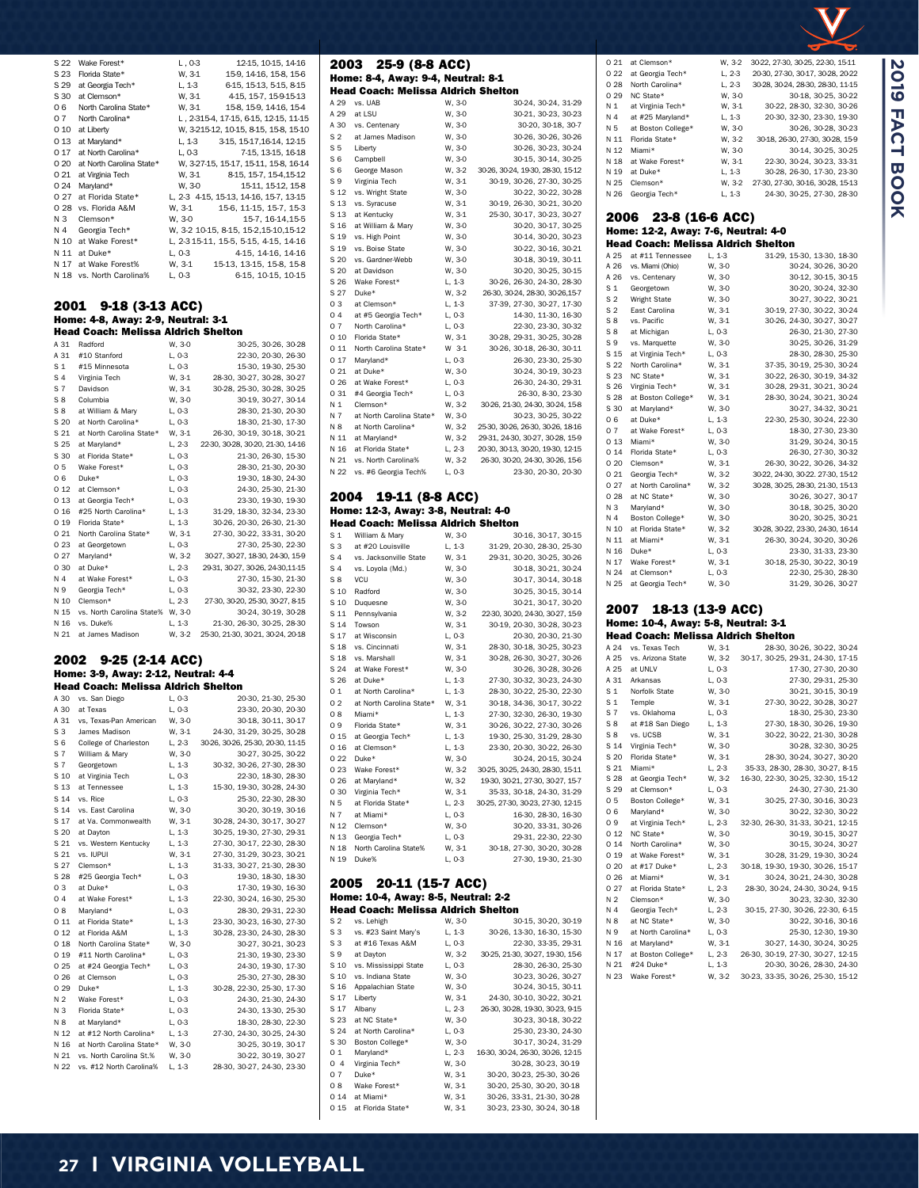|                | Florida State*                                 | W, 3-1           | 15-9, 14-16, 15-8, 15-6                                                       |
|----------------|------------------------------------------------|------------------|-------------------------------------------------------------------------------|
| S 29           | at Georgia Tech*                               | L, 1-3           | 6-15, 15-13, 5-15, 8-15                                                       |
| S 30           | at Clemson*                                    | W, 3-1<br>W, 3-1 | 4-15, 15-7, 15-9-15-13                                                        |
| 06             | North Carolina State*                          |                  | 15-8, 15-9, 14-16, 15-4                                                       |
| 07             | North Carolina*                                |                  | L, 2-315-4, 17-15, 6-15, 12-15, 11-15                                         |
|                |                                                |                  |                                                                               |
|                | O 10 at Liberty                                |                  | W, 3-215-12, 10-15, 8-15, 15-8, 15-10                                         |
|                | 0 13 at Maryland*                              |                  | L, 1-3 3-15, 15-17, 16-14, 12-15                                              |
|                | O 17 at North Carolina*                        | L, 0-3           | 7-15, 13-15, 16-18                                                            |
|                | O 20 at North Carolina State*                  |                  | W, 3-27-15, 15-17, 15-11, 15-8, 16-14                                         |
|                | O 21 at Virginia Tech                          |                  | $W, 3-1 \hspace{1.5cm} 8-15, 15-7, 15-4, 15-12$                               |
|                | 0 24 Maryland*                                 | W, 3-0           | 15-11, 15-12, 15-8                                                            |
|                |                                                |                  |                                                                               |
|                | 0 27 at Florida State*                         |                  | L, 2-3 4-15, 15-13, 14-16, 15-7, 13-15                                        |
|                | O 28 vs. Florida A&M                           |                  | W, 3-1 15-6, 11-15, 15-7, 15-3<br>W, 3-0 15-7, 16-14, 15-5                    |
| NЗ             | Clemson*                                       |                  |                                                                               |
| N 4            | Georgia Tech*                                  |                  | W, 3-2 10-15, 8-15, 15-2, 15-10, 15-12                                        |
|                | N 10 at Wake Forest*                           |                  | L, 2-3 15-11, 15-5, 5-15, 4-15, 14-16                                         |
|                | N 11 at Duke*                                  | L, 0-3           | 4-15, 14-16, 14-16                                                            |
| N 17           | at Wake Forest%                                |                  | W, 3-1 15-13, 13-15, 15-8, 15-8                                               |
|                |                                                |                  |                                                                               |
|                | N 18 vs. North Carolina%                       | L, 0-3           | 6-15, 10-15, 10-15                                                            |
|                |                                                |                  |                                                                               |
|                |                                                |                  |                                                                               |
|                | 2001 9-18 (3-13 ACC)                           |                  |                                                                               |
|                | Home: 4-8, Away: 2-9, Neutral: 3-1             |                  |                                                                               |
|                | <b>Head Coach: Melissa Aldrich Shelton</b>     |                  |                                                                               |
|                |                                                |                  |                                                                               |
|                | A 31 Radford                                   | W, 3-0           | 30-25, 30-26, 30-28                                                           |
|                | A 31 #10 Stanford                              | L, 0-3           | 22-30, 20-30, 26-30                                                           |
| S <sub>1</sub> | #15 Minnesota                                  | L, 0-3           | 15-30, 19-30, 25-30                                                           |
| S <sub>4</sub> | Virginia Tech                                  | W, 3-1           | 28-30, 30-27, 30-28, 30-27                                                    |
|                | S 7 Davidson                                   | W, 3-1           | 30-28, 25-30, 30-28, 30-25                                                    |
| S8             | Columbia                                       | W, 3-0           | 30-19, 30-27, 30-14                                                           |
| S8             |                                                |                  |                                                                               |
|                | at William & Mary                              | L, 0-3           | 28-30, 21-30, 20-30                                                           |
|                | S 20 at North Carolina*                        | L, 0-3           | 18-30, 21-30, 17-30                                                           |
|                | S 21 at North Carolina State*                  | W, 3-1           | 26-30, 30-19, 30-18, 30-21                                                    |
| S 25           | at Maryland*                                   | ,<br>L, 2-3      | 22-30, 30-28, 30-20, 21-30, 14-16                                             |
|                | S 30 at Florida State*                         | L, 0-3           | 21-30, 26-30, 15-30                                                           |
| 05             | Wake Forest*                                   | L, 0-3           | 28-30, 21-30, 20-30                                                           |
| 06             | Duke*                                          | L, 0-3           | 19-30, 18-30, 24-30                                                           |
| 0 1 2          |                                                |                  |                                                                               |
|                | at Clemson*                                    | L, 0-3           | 24-30, 25-30, 21-30                                                           |
|                | 0 13 at Georgia Tech*                          | L, 0-3           | 23-30, 19-30, 19-30                                                           |
|                | 0 16 #25 North Carolina*                       | $L, 1-3$         | 31-29, 18-30, 32-34, 23-30                                                    |
|                | 0 19 Florida State*                            | L, 1-3           | 30-26, 20-30, 26-30, 21-30                                                    |
| 0 21           | North Carolina State*                          | W, 3-1           | 27-30, 30-22, 33-31, 30-20                                                    |
|                | 0 23 at Georgetown                             | L, 0-3           | 27-30, 25-30, 22-30                                                           |
| 0 27           | Maryland*                                      | W, 3-2           | 30-27, 30-27, 18-30, 24-30, 15-9                                              |
|                |                                                |                  | 29-31, 30-27, 30-26, 24-30, 11-15                                             |
|                | 0 30 at Duke*                                  | L, 2-3           |                                                                               |
| N 4            | at Wake Forest*                                | L, 0-3           | 27-30, 15-30, 21-30                                                           |
| N 9            | Georgia Tech*                                  | L, 0-3           | 30-32, 23-30, 22-30                                                           |
|                | N 10 Clemson*                                  | $L, 2-3$         | 27-30, 30-20, 25-30, 30-27, 8-15                                              |
|                | N 15 vs. North Carolina State% W, 3-0          |                  | 30-24, 30-19, 30-28                                                           |
|                |                                                |                  |                                                                               |
|                | vs. Duke%                                      |                  |                                                                               |
| N 16           |                                                | $L, 1-3$         | 21-30, 26-30, 30-25, 28-30                                                    |
| N 21           | at James Madison                               |                  | W, 3-2 25-30, 21-30, 30-21, 30-24, 20-18                                      |
|                |                                                |                  |                                                                               |
|                | 2002 9-25 (2-14 ACC)                           |                  |                                                                               |
|                |                                                |                  |                                                                               |
|                | Home: 3-9, Away: 2-12, Neutral: 4-4            |                  |                                                                               |
|                | <b>Head Coach: Melissa Aldrich Shelton</b>     |                  |                                                                               |
|                | A 30 vs. San Diego                             | L, 0-3           | 20-30, 21-30, 25-30                                                           |
|                | A 30 at Texas                                  | L, 0-3           | 23-30, 20-30, 20-30                                                           |
|                | A 31 vs, Texas-Pan American W, 3-0             |                  | 30-18, 30-11, 30-17                                                           |
|                |                                                |                  |                                                                               |
|                | S 3 James Madison<br>S 6 College of Charleston |                  | W, 3-1 24-30, 31-29, 30-25, 30-28<br>L, 2-3 30-26, 30-26, 25-30, 20-30, 11-15 |
|                |                                                |                  |                                                                               |
| S 7            | William & Mary                                 | W, 3-0           | 30-27, 30-25, 30-22                                                           |
| S 7            | Georgetown                                     | L, 1-3           | 30-32, 30-26, 27-30, 28-30                                                    |
| S 10           | at Virginia Tech                               | L, 0-3           | 22-30, 18-30, 28-30                                                           |
| S 13           | at Tennessee                                   | L, 1-3           | 15-30, 19-30, 30-28, 24-30                                                    |
| S 14           | vs. Rice                                       | L, 0-3           | 25-30, 22-30, 28-30                                                           |
| S 14           | vs. East Carolina                              | W, 3-0           | 30-20, 30-19, 30-16                                                           |
| S 17           | at Va. Commonwealth                            | W, 3-1           |                                                                               |
|                |                                                |                  | 30-28, 24-30, 30-17, 30-27                                                    |
| S 20           | at Dayton                                      | L, 1-3           | 30-25, 19-30, 27-30, 29-31                                                    |
| S 21           | vs. Western Kentucky                           | L, 1-3           | 27-30, 30-17, 22-30, 28-30                                                    |
| S 21           | vs. IUPUI                                      | W, 3-1           | 27-30, 31-29, 30-23, 30-21                                                    |
| S 27           | Clemson*                                       | $L, 1-3$         | 31-33, 30-27, 21-30, 28-30                                                    |
| S 28           | #25 Georgia Tech*                              | L, 0-3           | 19-30, 18-30, 18-30                                                           |
| 03             | at Duke*                                       | L, 0-3           | 17-30, 19-30, 16-30                                                           |
| 04             | at Wake Forest*                                | $L, 1-3$         | 22-30, 30-24, 16-30, 25-30                                                    |
| 08             | Maryland*                                      | L, 0-3           | 28-30, 29-31, 22-30                                                           |
|                |                                                |                  |                                                                               |
| 0 11           | at Florida State*                              | L, 1-3           | 23-30, 30-23, 16-30, 27-30                                                    |
| 0 1 2          | at Florida A&M                                 | L, 1-3           | 30-28, 23-30, 24-30, 28-30                                                    |
| 0 18           | North Carolina State*                          | W, 3-0           | 30-27, 30-21, 30-23                                                           |
| 0 19           | #11 North Carolina*                            | L, 0-3           | 21-30, 19-30, 23-30                                                           |
| 0 25           | at #24 Georgia Tech*                           | L, 0-3           | 24-30, 19-30, 17-30                                                           |
| 0 26           | at Clemson                                     | L, 0-3           | 25-30, 27-30, 28-30                                                           |
| 0 29           | Duke*                                          | L, 1-3           | 30-28, 22-30, 25-30, 17-30                                                    |
| N 2            | Wake Forest*                                   | L, 0-3           | 24-30, 21-30, 24-30                                                           |
|                |                                                |                  |                                                                               |
| N 3            | Florida State*                                 | L, 0-3           | 24-30, 13-30, 25-30                                                           |
| N 8            | at Maryland*                                   | L, 0-3           | 18-30, 28-30, 22-30                                                           |
| N 12           | at #12 North Carolina*                         | $L, 1-3$         | 27-30, 24-30, 30-25, 24-30                                                    |
| N 16           | at North Carolina State*                       | W, 3-0           | 30-25, 30-19, 30-17                                                           |
| N 21           | vs. North Carolina St.%                        | W, 3-0           | 30-22, 30-19, 30-27                                                           |
| N 22           | vs. #12 North Carolina%                        | L, 1-3           | 28-30, 30-27, 24-30, 23-30                                                    |

S 22 Wake Forest\* L, 0-3 12-15, 10-15, 14-16

| 2003<br>25-9 (8-8 ACC)           |                                             |                    |                                                                 |
|----------------------------------|---------------------------------------------|--------------------|-----------------------------------------------------------------|
|                                  | Home: 8-4, Away: 9-4, Neutral: 8-1          |                    |                                                                 |
|                                  | <b>Head Coach: Melissa Aldrich Shelton</b>  |                    |                                                                 |
| A 29<br>A 29                     | vs. UAB<br>at LSU                           | W, 3-0<br>W, 3-0   | 30-24, 30-24, 31-29<br>30-21, 30-23, 30-23                      |
| A 30                             | vs. Centenary                               | W, 3-0             | 30-20, 30-18, 30-7                                              |
| S <sub>2</sub>                   | at James Madison                            | W, 3-0             | 30-26, 30-26, 30-26                                             |
| S <sub>5</sub>                   | Liberty                                     | W, 3-0             | 30-26, 30-23, 30-24                                             |
| S <sub>6</sub><br>S 6            | Campbell                                    | W, 3-0             | 30-15, 30-14, 30-25                                             |
| S 9                              | George Mason<br>Virginia Tech               | W, 3-2<br>W, 3-1   | 30-26, 30-24, 19-30, 28-30, 15-12<br>30-19, 30-26, 27-30, 30-25 |
| S 12                             | vs. Wright State                            | W, 3-0             | 30-22, 30-22, 30-28                                             |
| S 13                             | vs. Syracuse                                | W, 3-1             | 30-19, 26-30, 30-21, 30-20                                      |
| S 13                             | at Kentucky                                 | W, 3-1             | 25-30, 30-17, 30-23, 30-27                                      |
| S 16                             | at William & Mary                           | W, 3-0             | 30-20, 30-17, 30-25                                             |
| S 19<br>S 19                     | vs. High Point<br>vs. Boise State           | W, 3-0<br>W, 3-0   | 30-14, 30-20, 30-23<br>30-22, 30-16, 30-21                      |
| S 20                             | vs. Gardner-Webb                            | W, 3-0             | 30-18, 30-19, 30-11                                             |
| S 20                             | at Davidson                                 | W, 3-0             | 30-20, 30-25, 30-15                                             |
| S 26                             | Wake Forest*                                | L, 1-3             | 30-26, 26-30, 24-30, 28-30                                      |
| S 27                             | Duke*                                       | W, 3-2             | 26-30, 30-24, 28-30, 30-26, 15-7                                |
| 03<br>04                         | at Clemson*                                 | L, 1-3             | 37-39, 27-30, 30-27, 17-30<br>14-30, 11-30, 16-30               |
| 07                               | at #5 Georgia Tech*<br>North Carolina*      | L, 0-3<br>L, 0-3   | 22-30, 23-30, 30-32                                             |
| 0 10                             | Florida State*                              | W, 3-1             | 30-28, 29-31, 30-25, 30-28                                      |
| 0 11                             | North Carolina State*                       | W 3-1              | 30-26, 30-18, 26-30, 30-11                                      |
| 0 17                             | Maryland*                                   | L, 0-3             | 26-30, 23-30, 25-30                                             |
| 0 21                             | at Duke*                                    | W, 3-0             | 30-24, 30-19, 30-23                                             |
| 026<br>0 31                      | at Wake Forest*<br>#4 Georgia Tech*         | $L, 0-3$<br>L, 0-3 | 26-30, 24-30, 29-31<br>26-30, 8-30, 23-30                       |
| N 1                              | Clemson*                                    | W, 3-2             | 30-26, 21-30, 24-30, 30-24, 15-8                                |
| N 7                              | at North Carolina State*                    | W, 3-0             | 30-23, 30-25, 30-22                                             |
| N 8                              | at North Carolina*                          | W, 3-2             | 25-30, 30-26, 26-30, 30-26, 18-16                               |
|                                  | N 11 at Maryland*                           | W, 3-2             | 29-31, 24-30, 30-27, 30-28, 15-9                                |
|                                  | N 16 at Florida State*                      | L, 2-3             | 20-30, 30-13, 30-20, 19-30, 12-15                               |
| N 21<br>N 22                     | vs. North Carolina%<br>vs. #6 Georgia Tech% | W, 3-2<br>L, 0-3   | 26-30, 30-20, 24-30, 30-26, 15-6<br>23-30, 20-30, 20-30         |
|                                  |                                             |                    |                                                                 |
|                                  | 2004 19-11 (8-8 ACC)                        |                    |                                                                 |
|                                  | Home: 12-3, Away: 3-8, Neutral: 4-0         |                    |                                                                 |
|                                  | <b>Head Coach: Melissa Aldrich Shelton</b>  |                    |                                                                 |
| S <sub>1</sub>                   | William & Mary                              | W, 3-0             | 30-16, 30-17, 30-15                                             |
| S <sub>3</sub>                   | at #20 Louisville                           | $L, 1-3$           | 31-29, 20-30, 28-30, 25-30                                      |
| S <sub>4</sub><br>S 4            | vs. Jacksonville State<br>vs. Loyola (Md.)  | W, 3-1<br>W, 3-0   | 29-31, 30-20, 30-25, 30-26<br>30-18, 30-21, 30-24               |
| S <sub>8</sub>                   | VCU                                         | W, 3-0             | 30-17, 30-14, 30-18                                             |
| S 10                             | Radford                                     | W, 3-0             | 30-25, 30-15, 30-14                                             |
| S 10                             | Duquesne                                    | W, 3-0             | 30-21, 30-17, 30-20                                             |
| S 11                             | Pennsylvania                                | W, 3-2             | 22-30, 30-20, 24-30, 30-27, 15-9                                |
| S 14<br>S 17                     | Towson<br>at Wisconsin                      | $W, 3-1$<br>L, 0-3 | 30-19, 20-30, 30-28, 30-23<br>20-30, 20-30, 21-30               |
| S 18                             | vs. Cincinnati                              | W. 3-1             | 28-30, 30-18, 30-25, 30-23                                      |
| S 18                             | vs. Marshall                                | W, 3-1             | 30-28, 26-30, 30-27, 30-26                                      |
| S 24                             | at Wake Forest*                             | W. 3-0             | 30-26, 30-28, 30-26                                             |
| S 26                             | at Duke*                                    | L, 1-3             | 27-30, 30-32, 30-23, 24-30                                      |
| 01                               | at North Carolina*                          | $L, 1-3$           | 28-30, 30-22, 25-30, 22-30                                      |
| 02<br>08                         | at North Carolina State*<br>Miami*          | W, 3-1<br>$L, 1-3$ | 30-18, 34-36, 30-17, 30-22<br>27-30, 32-30, 26-30, 19-30        |
| 09                               | Florida State*                              | W, 3-1             | 30-26, 30-22, 27-30, 30-26                                      |
| 0 15                             | at Georgia Tech*                            | $L, 1-3$           | 19-30, 25-30, 31-29, 28-30                                      |
| 016                              | at Clemson*                                 | L, 1-3             | 23-30, 20-30, 30-22, 26-30                                      |
| 0 22                             | Duke*                                       | W, 3-0             | 30-24, 20-15, 30-24                                             |
| 0 23                             | Wake Forest*                                | W, 3-2             | 30-25, 30-25, 24-30, 28-30, 15-11                               |
| 0 30                             | 0 26 at Maryland*<br>Virginia Tech*         | W, 3-2<br>W, 3-1   | 19-30, 30-21, 27-30, 30-27, 15-7<br>35-33, 30-18, 24-30, 31-29  |
| N 5                              | at Florida State*                           | L, 2-3             | 30-25, 27-30, 30-23, 27-30, 12-15                               |
| N 7                              | at Miami*                                   | L, 0-3             | 16-30, 28-30, 16-30                                             |
| N 12                             | Clemson*                                    | W, 3-0             | 30-20, 33-31, 30-26                                             |
| N 13                             | Georgia Tech*                               | $L, 0-3$           | 29-31, 22-30, 22-30                                             |
| N 18<br>N 19                     | North Carolina State%<br>Duke%              | W, 3-1<br>L, 0-3   | 30-18, 27-30, 30-20, 30-28<br>27-30, 19-30, 21-30               |
|                                  |                                             |                    |                                                                 |
| 2005                             | 20-11 (15-7 ACC)                            |                    |                                                                 |
|                                  | Home: 10-4, Away: 8-5, Neutral: 2-2         |                    |                                                                 |
|                                  | <b>Head Coach: Melissa Aldrich Shelton</b>  |                    |                                                                 |
| S <sub>2</sub><br>S <sub>3</sub> | vs. Lehigh<br>vs. #23 Saint Mary's          | W, 3-0<br>L, 1-3   | 30-15, 30-20, 30-19<br>30-26, 13-30, 16-30, 15-30               |
| SЗ                               | at #16 Texas A&M                            | L, 0-3             | 22-30, 33-35, 29-31                                             |
| S 9                              | at Dayton                                   | W, 3-2             | 30-25, 21-30, 30-27, 19-30, 15-6                                |
|                                  | S 10 vs. Mississippi State                  | L, 0-3             | 28-30, 26-30, 25-30                                             |
|                                  | S 10 vs. Indiana State                      | W, 3-0             | 30-23, 30-26, 30-27                                             |
| S 16<br>S 17                     | Appalachian State<br>Liberty                | W, 3-0             | 30-24, 30-15, 30-11                                             |
| S 17                             | Albany                                      | W, 3-1<br>$L, 2-3$ | 24-30, 30-10, 30-22, 30-21<br>26-30, 30-28, 19-30, 30-23, 9-15  |
| S 23                             | at NC State*                                | W, 3-0             | 30-23, 30-18, 30-22                                             |
| S 24                             | at North Carolina*                          | L, 0-3             | 25-30, 23-30, 24-30                                             |
| S 30                             | Boston College*                             | W, 3-0             | 30-17, 30-24, 31-29                                             |
| 01                               | Maryland*                                   | $L, 2-3$           | 16-30, 30-24, 26-30, 30-26, 12-15                               |
| 04<br>07                         | Virginia Tech*<br>Duke*                     | W, 3-0<br>W, 3-1   | 30-28, 30-23, 30-19<br>30-20, 30-23, 25-30, 30-26               |
| 08                               | Wake Forest*                                | W, 3-1             | 30-20, 25-30, 30-20, 30-18                                      |
|                                  | 0 14 at Miami*                              | W, 3-1             | 30-26, 33-31, 21-30, 30-28                                      |
| 0 15                             | at Florida State*                           | W, 3-1             | 30-23, 23-30, 30-24, 30-18                                      |

| 0 21           | at Clemson*                                                  | W. 3-2   | 30-22, 27-30, 30-25, 22-30, 15-11 |
|----------------|--------------------------------------------------------------|----------|-----------------------------------|
| 022            | at Georgia Tech*                                             | L, 2-3   | 20-30, 27-30, 30-17, 30-28, 20-22 |
| 028            | North Carolina*                                              | L, 2-3   | 30-28, 30-24, 28-30, 28-30, 11-15 |
| 0 29           | NC State*                                                    | W, 3-0   | 30-18, 30-25, 30-22               |
| N 1            | at Virginia Tech*                                            | W. 3-1   | 30-22, 28-30, 32-30, 30-26        |
| N 4            | at #25 Maryland*                                             | L, 1-3   | 20-30, 32-30, 23-30, 19-30        |
| N 5            | at Boston College*                                           | W, 3-0   | 30-26, 30-28, 30-23               |
| N 11           | Florida State*                                               | W. 3-2   | 30-18, 26-30, 27-30, 30-28, 15-9  |
| N 12           | Miami*                                                       | W, 3-0   | 30-14, 30-25, 30-25               |
| N 18           | at Wake Forest*                                              | W. 3-1   | 22-30, 30-24, 30-23, 33-31        |
| N 19           | at Duke*                                                     | L, 1-3   | 30-28, 26-30, 17-30, 23-30        |
| N 25           | Clemson*                                                     | W. 3-2   | 27-30, 27-30, 30-16, 30-28, 15-13 |
| N 26           | Georgia Tech*                                                | L, 1-3   | 24-30, 30-25, 27-30, 28-30        |
| 2006           | 23-8 (16-6 ACC)                                              |          |                                   |
|                | Home: 12-2, Away: 7-6, Neutral: 4-0                          |          |                                   |
|                | <b>Head Coach: Melissa Aldrich Shelton</b>                   |          |                                   |
| A 25           | at #11 Tennessee                                             | $L, 1-3$ | 31-29, 15-30, 13-30, 18-30        |
| A 26           | vs. Miami (Ohio)                                             | W. 3-0   | 30-24, 30-26, 30-20               |
| A 26           | vs. Centenary                                                | W, 3-0   | 30-12, 30-15, 30-15               |
| S <sub>1</sub> | Georgetown                                                   | W, 3-0   | 30-20, 30-24, 32-30               |
| S <sub>2</sub> | <b>Wright State</b>                                          | W, 3-0   | 30-27, 30-22, 30-21               |
| S <sub>2</sub> | East Carolina                                                | W. 3-1   | 30-19, 27-30, 30-22, 30-24        |
| $S_8$          | vs. Pacific                                                  | W, 3-1   | 30-26, 24-30, 30-27, 30-27        |
| S8             | at Michigan                                                  | L, 0-3   | 26-30, 21-30, 27-30               |
| S 9            | vs. Marquette                                                | W, 3-0   | 30-25, 30-26, 31-29               |
| S 15           | at Virginia Tech*                                            | $L, 0-3$ | 28-30, 28-30, 25-30               |
| S 22           | North Carolina*                                              | W. 3-1   | 37-35, 30-19, 25-30, 30-24        |
| S 23           | NC State*                                                    | W, 3-1   | 30-22, 26-30, 30-19, 34-32        |
| S 26           | Virginia Tech*                                               | W, 3-1   | 30-28, 29-31, 30-21, 30-24        |
| S 28           | at Boston College*                                           | W, 3-1   | 28-30, 30-24, 30-21, 30-24        |
| S 30           | at Maryland*                                                 | W, 3-0   | 30-27, 34-32, 30-21               |
| 06             | at Duke*                                                     | L, 1-3   | 22-30, 25-30, 30-24, 22-30        |
| 07             | at Wake Forest*                                              | L, 0-3   | 18-30, 27-30, 23-30               |
| 0 13           | Miami*                                                       | W, 3-0   | 31-29, 30-24, 30-15               |
| 014            | Florida State*                                               | L, 0-3   | 26-30, 27-30, 30-32               |
| 0 20           | Clemson*                                                     | W, 3-1   | 26-30, 30-22, 30-26, 34-32        |
| 021            | Georgia Tech*                                                | W, 3-2   | 30-22, 24-30, 30-22. 27-30, 15-12 |
| 027            | at North Carolina*                                           | W, 3-2   | 30-28, 30-25, 28-30, 21-30, 15-13 |
| 0 28           | at NC State*                                                 | W. 3-0   | 30-26, 30-27, 30-17               |
| N 3            | Maryland*                                                    | W, 3-0   | 30-18, 30-25, 30-20               |
| N 4            |                                                              | W, 3-0   | 30-20, 30-25, 30-21               |
|                | Boston College*                                              |          |                                   |
| N 10           | at Florida State*                                            | W, 3-2   | 30-28, 30-22, 23-30, 24-30, 16-14 |
| N 11           | at Miami*                                                    | W. 3-1   | 26-30, 30-24, 30-20, 30-26        |
| N 16           | Duke*                                                        | L, 0-3   | 23-30, 31-33, 23-30               |
| N 17           | Wake Forest*                                                 | W, 3-1   | 30-18, 25-30, 30-22, 30-19        |
| N 24           | at Clemson*                                                  | L, 0-3   | 22-30, 25-30, 28-30               |
| N 25           | at Georgia Tech*                                             | W, 3-0   | 31-29, 30-26, 30-27               |
|                | 2007<br>18-13 (13-9 ACC)                                     |          |                                   |
|                | Home: 10-4, Away: 5-8, Neutral: 3-1                          |          |                                   |
| A 24           | <b>Head Coach: Melissa Aldrich Shelton</b><br>vs. Texas Tech | W, 3-1   | 28-30, 30-26, 30-22, 30-24        |
|                | A 25 vs. Arizona State                                       | W 3-2    | 30-17 30-25 29-31 24-30 17-15     |
|                |                                                              |          |                                   |

**2019 FACT BOOK**

2019 FACT BOOK

| A 24           | vs. Texas Tech     | W. 3-1   | 28-30, 30-26, 30-22, 30-24        |
|----------------|--------------------|----------|-----------------------------------|
| A 25           | vs. Arizona State  | W. 3-2   | 30-17, 30-25, 29-31, 24-30, 17-15 |
| A 25           | at UNLV            | L, 0-3   | 17-30, 27-30, 20-30               |
| A 31           | Arkansas           | L, 0-3   | 27-30, 29-31, 25-30               |
| S <sub>1</sub> | Norfolk State      | W, 3-0   | 30-21, 30-15, 30-19               |
| S <sub>1</sub> | Temple             | W. 3-1   | 27-30, 30-22, 30-28, 30-27        |
| S <sub>7</sub> | vs. Oklahoma       | $L. 0-3$ | 18-30, 25-30, 23-30               |
| S8             | at #18 San Diego   | $L, 1-3$ | 27-30, 18-30, 30-26, 19-30        |
| S8             | vs. UCSB           | W. 3-1   | 30-22, 30-22, 21-30, 30-28        |
| S 14           | Virginia Tech*     | W. 3-0   | 30-28, 32-30, 30-25               |
| S 20           | Florida State*     | W. 3-1   | 28-30, 30-24, 30-27, 30-20        |
| S 21           | Miami*             | $L, 2-3$ | 35-33, 28-30, 28-30, 30-27, 8-15  |
| S 28           | at Georgia Tech*   | W, 3-2   | 16-30, 22-30, 30-25, 32-30, 15-12 |
| S 29           | at Clemson*        | L, 0-3   | 24-30, 27-30, 21-30               |
| 05             | Boston College*    | W. 3-1   | 30-25, 27-30, 30-16, 30-23        |
| 06             | Maryland*          | W, 3-0   | 30-22, 32-30, 30-22               |
| 09             | at Virginia Tech*  | $L, 2-3$ | 32-30, 26-30, 31-33, 30-21, 12-15 |
| 0 12           | NC State*          | W, 3-0   | 30-19, 30-15, 30-27               |
| 014            | North Carolina*    | W, 3-0   | 30-15, 30-24, 30-27               |
| 0 19           | at Wake Forest*    | W, 3-1   | 30-28, 31-29, 19-30, 30-24        |
| 0 20           | at #17 Duke*       | $L, 2-3$ | 30-18, 19-30, 19-30, 30-26, 15-17 |
| 026            | at Miami*          | W, 3-1   | 30-24, 30-21, 24-30, 30-28        |
| 0 27           | at Florida State*  | $L, 2-3$ | 28-30, 30-24, 24-30, 30-24, 9-15  |
| N <sub>2</sub> | Clemson*           | W, 3-0   | 30-23, 32-30, 32-30               |
| N 4            | Georgia Tech*      | $L, 2-3$ | 30-15, 27-30, 30-26, 22-30, 6-15  |
| N 8            | at NC State*       | W, 3-0   | 30-22, 30-16, 30-16               |
| N 9            | at North Carolina* | L, 0-3   | 25-30, 12-30, 19-30               |
| N 16           | at Maryland*       | W, 3-1   | 30-27, 14-30, 30-24, 30-25        |
| N 17           | at Boston College* | L, 2-3   | 26-30, 30-19, 27-30, 30-27, 12-15 |
| N 21           | #24 Duke*          | $L, 1-3$ | 20-30, 30-26, 28-30, 24-30        |
| N 23           | Wake Forest*       | W. 3-2   | 30-23, 33-35, 30-26, 25-30, 15-12 |
|                |                    |          |                                   |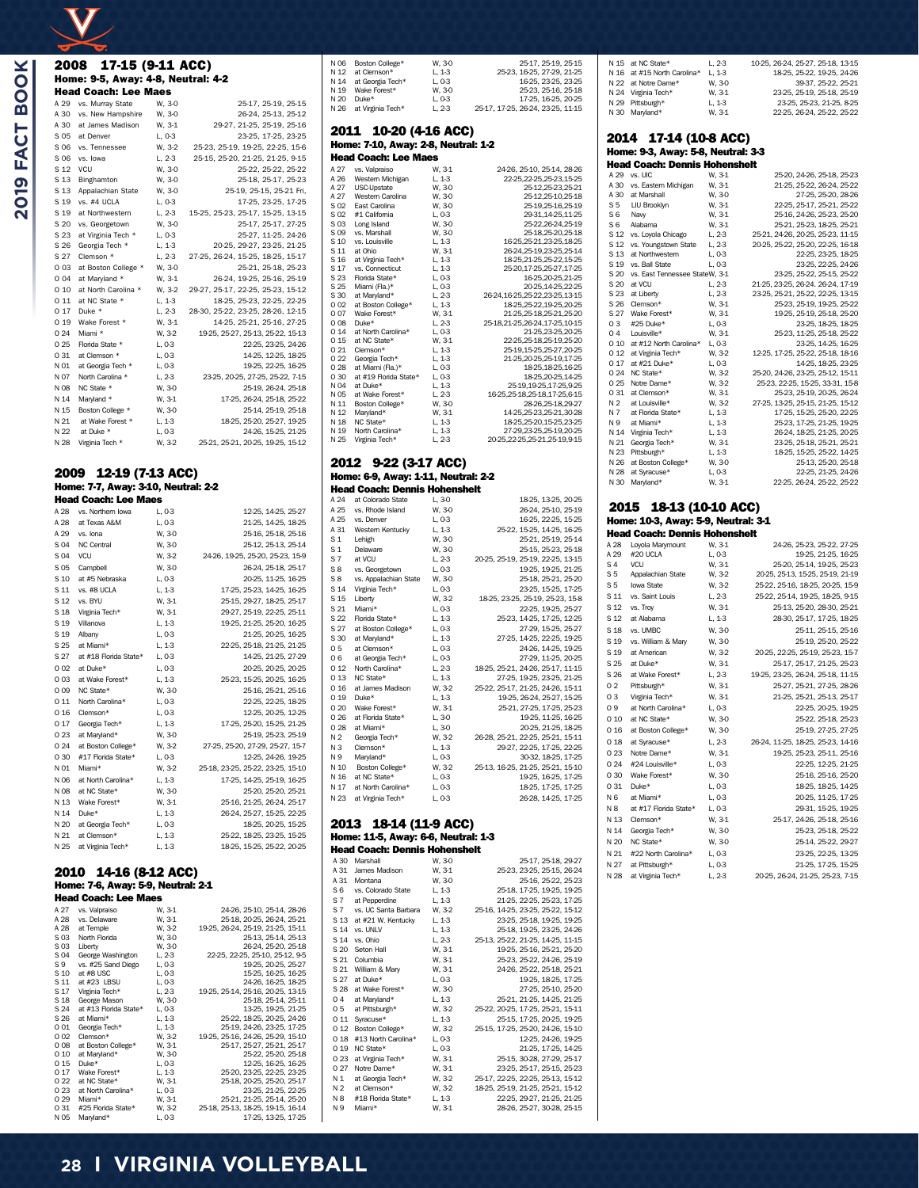## 2008 17-15 (9-11 ACC) Home: 9-5, Away: 4-8, Neutral: 4-2

| <b>Head Coach: Lee Maes</b> |                     |          |                                   |
|-----------------------------|---------------------|----------|-----------------------------------|
| A 29                        | vs. Murray State    | W. 3-0   | 25-17, 25-19, 25-15               |
| A 30                        | vs. New Hampshire   | W. 3-0   | 26-24, 25-13, 25-12               |
| A 30                        | at James Madison    | W. 3-1   | 29-27, 21-25, 25-19, 25-16        |
| S 05                        | at Denver           | $L. 0-3$ | 23-25, 17-25, 23-25               |
| S 06                        | vs. Tennessee       | W. 3-2   | 25-23, 25-19, 19-25, 22-25, 15-6  |
| S 06                        | vs. Iowa            | L, 2-3   | 25-15, 25-20, 21-25, 21-25, 9-15  |
| S 12                        | VCU                 | W. 3-0   | 25-22, 25-22, 25-22               |
| S 13                        | Binghamton          | W, 3-0   | 25-18, 25-17, 25-23               |
| S 13                        | Appalachian State   | W. 3-0   | 25-19, 25-15, 25-21 Fri.          |
| S 19                        | vs. #4 UCLA         | L, 0-3   | 17-25, 23-25, 17-25               |
| S 19                        | at Northwestern     | L, 2-3   | 15-25, 25-23, 25-17, 15-25, 13-15 |
| S 20                        | vs. Georgetown      | W. 3-0   | 25-17, 25-17, 27-25               |
| S 23                        | at Virginia Tech *  | $L.0-3$  | 25-27, 11-25, 24-26               |
| S 26                        | Georgia Tech *      | $L. 1-3$ | 20-25, 29-27, 23-25, 21-25        |
| S 27                        | Clemson *           | L, 2-3   | 27-25, 26-24, 15-25, 18-25, 15-17 |
| 0 0 3                       | at Boston College * | W, 3-0   | 25-21, 25-18, 25-23               |
| 004                         | at Maryland *       | W. 3-1   | 26-24, 19-25, 25-16, 25-19        |
| 010                         | at North Carolina * | W. 3-2   | 29-27, 25-17, 22-25, 25-23, 15-12 |
| 011                         | at NC State *       | L, 1-3   | 18-25, 25-23, 22-25, 22-25        |
| 0 17                        | Duke *              | $L. 2-3$ | 28-30, 25-22, 23-25, 28-26, 12-15 |
| 019                         | Wake Forest *       | W, 3-1   | 14-25, 25-21, 25-16, 27-25        |
| 0.24                        | Miami *             | W. 3-2   | 19-25, 25-27, 25-13, 25-22, 15-13 |
| 0.25                        | Florida State *     | L, 0-3   | 22-25, 23-25, 24-26               |
| 0 31                        | at Clemson *        | L, 0-3   | 14-25, 12-25, 18-25               |
| N 01                        | at Georgia Tech *   | L, 0-3   | 19-25, 22-25, 16-25               |
| N 07                        | North Carolina *    | L, 2-3   | 23-25, 20-25, 27-25, 25-22, 7-15  |
| N 08                        | NC State *          | W, 30    | 25-19, 26-24, 25-18               |
| N 14                        | Marvland *          | W. 3-1   | 17-25, 26-24, 25-18, 25-22        |
| N 15                        | Boston College *    | W. 30    | 25-14, 25-19, 25-18               |
| N 21                        | at Wake Forest *    | $L, 1-3$ | 18-25, 25-20, 25-27, 19-25        |
| N 22                        | at Duke *           | L, 0-3   | 24-26, 15-25, 21-25               |
| N 28                        | Virginia Tech *     | W. 3-2   | 25-21, 25-21, 20-25, 19-25, 15-12 |

#### 2009 12-19 (7-13 ACC) Home: 7-7, Away: 3-10, Neutral: 2-2

|      | <b>Head Coach: Lee Maes</b> |          |                                   |  |
|------|-----------------------------|----------|-----------------------------------|--|
| A 28 | vs. Northern lowa           | $L.0-3$  | 12-25, 14-25, 25-27               |  |
| A 28 | at Texas A&M                | L, 0-3   | 21-25, 14-25, 18-25               |  |
| A 29 | vs. Iona                    | W. 30    | 25-16, 25-18, 25-16               |  |
| S 04 | NC Central                  | W. 3-0   | 25-12, 25-13, 25-14               |  |
| S 04 | <b>VCU</b>                  | W. 3-2   | 24-26, 19-25, 25-20, 25-23, 15-9  |  |
| S 05 | Campbell                    | W. 30    | 26-24, 25-18, 25-17               |  |
| S 10 | at #5 Nebraska              | L, 0-3   | 20-25, 11-25, 16-25               |  |
| S 11 | vs. #8 UCLA                 | L.13     | 17-25, 25-23, 14-25, 16-25        |  |
| S 12 | vs. BYU                     | W. 3-1   | 25-15, 29-27, 18-25, 25-17        |  |
| S 18 | Virginia Tech*              | W. 3-1   | 29-27, 25-19, 22-25, 25-11        |  |
| S 19 | Villanova                   | $L, 1-3$ | 19-25, 21-25, 25-20, 16-25        |  |
| S 19 | Albany                      | L, 0-3   | 21-25, 20-25, 16-25               |  |
| S 25 | at Miami*                   | $L, 1-3$ | 22-25, 25-18, 21-25, 21-25        |  |
| S 27 | at #18 Florida State*       | $L.0-3$  | 14-25, 21-25, 27-29               |  |
| 002  | at Duke*                    | L, 0-3   | 20-25, 20-25, 20-25               |  |
| 003  | at Wake Forest*             | $L, 1-3$ | 25-23, 15-25, 20-25, 16-25        |  |
| 009  | NC State*                   | W. 3-0   | 25-16, 25-21, 25-16               |  |
| 011  | North Carolina*             | L, 0-3   | 22-25, 22-25, 18-25               |  |
| 016  | Clemson*                    | L, 0-3   | 12-25, 20-25, 12-25               |  |
| 0 17 | Georgia Tech*               | $L, 1-3$ | 17-25, 25-20, 15-25, 21-25        |  |
| 023  | at Maryland*                | W. 30    | 25-19, 25-23, 25-19               |  |
| 024  | at Boston College*          | W. 3-2   | 27-25, 25-20, 27-29, 25-27, 15-7  |  |
| 030  | #17 Florida State*          | L, 0-3   | 12-25, 24-26, 19-25               |  |
| N 01 | Miami*                      | W. 3-2   | 25-18, 23-25, 25-22, 23-25, 15-10 |  |
| N 06 | at North Carolina*          | $L, 1-3$ | 17-25, 14-25, 25-19, 16-25        |  |
| N 08 | at NC State*                | W. 30    | 25-20, 25-20, 25-21               |  |
| N 13 | Wake Forest*                | W. 3-1   | 25-16, 21-25, 26-24, 25-17        |  |
| N 14 | Duke*                       | $L, 1-3$ | 26-24, 25-27, 15-25, 22-25        |  |
| N 20 | at Georgia Tech*            | L, 0-3   | 18-25, 20-25, 15-25               |  |
| N 21 | at Clemson*                 | $L, 1-3$ | 25-22, 18-25, 23-25, 15-25        |  |
| N 25 | at Virginia Tech*           | $L, 1-3$ | 18-25, 15-25, 25-22, 20-25        |  |
|      |                             |          |                                   |  |

#### 2010 14-16 (8-12 ACC) Home: 7-6, Away: 5-9, Neutral: 2-1 Head Coach: Lee Maes

| A 27 | vs. Valpraiso         | W. 3-1   | 24-26, 25-10, 25-14, 28-26        |
|------|-----------------------|----------|-----------------------------------|
| A 28 | vs. Delaware          | W. 3-1   | 25-18, 20-25, 26-24, 25-21        |
| A 28 | at Temple             | W. 3-2   | 19-25, 26-24, 25-19, 21-25, 15-11 |
| S 03 | North Florida         | W, 30    | 25-13, 25-14, 25-13               |
| S 03 | Liberty               | W, 30    | 26-24, 25-20, 25-18               |
| S 04 | George Washington     | L, 2-3   | 22-25, 22-25, 25-10, 25-12, 9-5   |
| S 9  | vs. #25 Sand Diego    | $L.0-3$  | 19-25, 20-25, 25-27               |
| S 10 | at #8 USC             | $L.0-3$  | 15-25, 16-25, 16-25               |
| S 11 | at #23 LBSU           | $L.0-3$  | 24-26, 16-25, 18-25               |
| S 17 | Virginia Tech*        | $L.2-3$  | 19-25, 25-14, 25-16, 20-25, 13-15 |
| S 18 | George Mason          | W, 30    | 25-18, 25-14, 25-11               |
| S 24 | at #13 Florida State* | L, 0-3   | 13-25, 19-25, 21-25               |
| S 26 | at Miami*             | $L, 1-3$ | 25-22, 18-25, 20-25, 24-26        |
| 001  | Georgia Tech*         | $L, 1-3$ | 25-19, 24-26, 23-25, 17-25        |
| 002  | Clemson*              | W. 3-2   | 19-25, 25-16, 24-26, 25-29, 15-10 |
| 008  | at Boston College*    | W. 3-1   | 25-17, 25-27, 25-21, 25-17        |
| 010  | at Maryland*          | W. 3-0   | 25-22, 25-20, 25-18               |
| 0 15 | Duke*                 | L.03     | 12-25, 16-25, 16-25               |
| 0 17 | Wake Forest*          | L.13     | 25-20, 23-25, 22-25, 23-25        |
| 022  | at NC State*          | W. 3-1   | 25-18, 20-25, 25-20, 25-17        |
| 023  | at North Carolina*    | L, 0-3   | 23-25, 21-25, 22-25               |
| 0.29 | Miami*                | W. 3-1   | 25-21, 21-25, 25-14, 25-20        |
| 031  | #25 Florida State*    | W. 3-2   | 25-18, 25-13, 18-25, 19-15, 16-14 |
| N 05 | Maryland*             | L, 0-3   | 17-25, 13-25, 17-25               |

#### N 06 Boston College\* W, 3-0 25-17, 25-19, 25-15<br>N 12 at Clemson\* L, 1-3 25-23, 16-25, 27-29, 21-25 1, 1-3 25-23, 16-25, 27-29, 21-25<br>
L, 0-3 16-25, 23-25, 23-25 N 14 at Georgia Tech\* L, 0-3 16-25, 23-25, 23-25 N 19 Wake Forest\* W, 3-0 25-23, 25-16, 25-18 N 20 Duke\* L, 0-3 17-25, 16-25, 20-25 1, 2-3 25-17, 17-25, 26-24, 23-25, 11-15

#### 2011 10-20 (4-16 ACC) Home: 7-10, Away: 2-8, Neutral: 1-2

|      | Head Coach: Lee Maes  |          |                                   |
|------|-----------------------|----------|-----------------------------------|
| A 27 | vs. Valpraiso         | W. 3-1   | 24-26, 25-10, 25-14, 28-26        |
| A 26 | Western Michigan      | $L, 1-3$ | 22-25, 22-25, 25-23, 15-25        |
| A 27 | <b>USC</b> -Upstate   | W. 30    | 25-12.25-23.25-21                 |
| A 27 | Western Carolina      | W. 30    | 25-12.25-10.25-18                 |
| S 02 | East Carolina         | W. 30    | 25-19, 25-16, 25-19               |
| S 02 | #1 California         | L, 0-3   | 29-31, 14-25, 11-25               |
| S 03 | Long Island           | W, 3-0   | 25-22, 26-24, 25-19               |
| S 09 | vs. Marshall          | W, 3-0   | 25-18,25-20,25-18                 |
| S 10 | vs. Louisville        | L, 1-3   | 16-25, 25-21, 23-25, 18-25        |
| S 11 | at Ohio               | W. 3-1   | 26-24, 25-19, 23-25, 25-14        |
| S 16 | at Virginia Tech*     | L.13     | 18-25.21-25.25-22.15-25           |
| S 17 | vs. Connecticut       | L.13     | 25-20.17-25.25-27.17-25           |
| S 23 | Florida State*        | $L.0-3$  | 16-25.20-25.21-25                 |
| S 25 | Miami (Fla.)*         | L, 0-3   | 20-25.14-25.22-25                 |
| S 30 | at Marvland*          | L, 2-3   | 26-24, 16-25, 25-22, 23-25, 13-15 |
| 002  | at Boston College*    | L, 1-3   | 18-25.25-22.19-25.20-25           |
| 007  | Wake Forest*          | W. 3-1   | 21-25.25-18.25-21.25-20           |
| 008  | Duke*                 | L, 2-3   | 25-18, 21-25, 26-24, 17-25, 10-15 |
| 014  | at North Carolina*    | L, 0-3   | 21-25.23-25.20-25                 |
| 0 15 | at NC State*          | W. 3-1   | 22-25, 25-18, 25-19, 25-20        |
| 021  | Clemson*              | L, 1-3   | 25-19, 15-25, 25-27, 20-25        |
| 022  | Georgia Tech*         | L, 1-3   | 21-25, 20-25, 25-19, 17-25        |
| 0 28 | at Miami (Fla.)*      | L, 0-3   | 18-25, 18-25, 16-25               |
| 030  | at #19 Florida State* | L, 0-3   | 18-25, 20-25, 14-25               |
| N 04 | at Duke*              | $L, 1-3$ | 25-19,19-25,17-25,9-25            |
| N 05 | at Wake Forest*       | $L.2-3$  | 16-25.25-18.25-18.17-25.6-15      |
| N 11 | Boston College*       | W, 3-0   | 28-26.25-18.29-27                 |
| N 12 | Maryland*             | W. 3-1   | 14-25.25-23.25-21.30-28           |
| N 18 | NC State*             | L, 1-3   | 18-25.25-20.15-25.23-25           |
| N 19 | North Carolina*       | L.13     | 27-29,23-25,25-19,20-25           |
| N 25 | Virginia Tech*        | L.23     | 20-25, 22-25, 25-21, 25-19, 9-15  |

#### 2012 9-22 (3-17 ACC) Home: 6-9, Away: 1-11, Neutral: 2-2 Head Coach: Dennis Hohenshelt<br>A 24 at Colorado State L. 30

| A 24           | at Colorado State     | L.30    | 18-25, 13-25, 20-25               |
|----------------|-----------------------|---------|-----------------------------------|
| A 25           | vs. Rhode Island      | W. 3-0  | 26-24, 25-10, 25-19               |
| A 25           | vs. Denver            | L, 0-3  | 16-25, 22-25, 15-25               |
| A 31           | Western Kentucky      | L.13    | 25-22, 15-25, 14-25, 16-25        |
| S 1            | Lehigh                | W, 30   | 25-21, 25-19, 25-14               |
| S <sub>1</sub> | <b>Delaware</b>       | W. 30   | 25-15, 25-23, 25-18               |
| S <sub>7</sub> | at VCU                | $L.2-3$ | 20-25, 25-19, 25-19, 22-25, 13-15 |
| S8             | vs. Georgetown        | L, 0-3  | 19-25, 19-25, 21-25               |
| S8             | vs. Appalachian State | W. 30   | 25-18, 25-21, 25-20               |
| S 14           | Virginia Tech*        | L, 0-3  | 23-25, 15-25, 17-25               |
| S 15           | Liberty               | W, 3-2  | 18-25, 23-25, 25-19, 25-23, 15-8  |
| S 21           | Miami*                | L, 0-3  | 22-25, 19-25, 25-27               |
| S 22           | Florida State*        | L, 1-3  | 25-23, 14-25, 17-25, 12-25        |
| S 27           | at Boston College*    | L, 0-3  | 27-29, 15-25, 25-27               |
| S 30           | at Maryland*          | L, 1-3  | 27-25, 14-25, 22-25, 19-25        |
| 05             | at Clemson*           | $L.0-3$ | 24-26, 14-25, 19-25               |
| 06             | at Georgia Tech*      | $L.0-3$ | 27-29, 11-25, 20-25               |
| 012            | North Carolina*       | L, 2-3  | 18-25, 25-21, 24-26, 25-17, 11-15 |
| 0 13           | NC State*             | L, 1-3  | 27-25, 19-25, 23-25, 21-25        |
| 0 16           | at James Madison      | W, 3-2  | 25-22, 25-17, 21-25, 24-26, 15-11 |
| 0 19           | Duke*                 | L, 1-3  | 19-25, 26-24, 25-27, 15-25        |
| 020            | Wake Forest*          | W. 3-1  | 25-21, 27-25, 17-25, 25-23        |
| 0 26           | at Florida State*     | L, 3-0  | 19-25, 11-25, 16-25               |
| 028            | at Miami*             | L, 3-0  | 20-25, 21-25, 18-25               |
| N <sub>2</sub> | Georgia Tech*         | W, 3-2  | 26-28, 25-21, 22-25, 25-21, 15-11 |
| NЗ             | Clemson*              | L, 1-3  | 29-27, 22-25, 17-25, 22-25        |
| N 9            | Maryland*             | L, 0-3  | 30-32, 18-25, 17-25               |
| N 10           | Boston College*       | W, 3-2  | 25-13, 16-25, 21-25, 25-21, 15-10 |
| N 16           | at NC State*          | L, 0-3  | 19-25, 16-25, 17-25               |
| N 17           | at North Carolina*    | L, 0-3  | 18-25, 17-25, 17-25               |
| N 23           | at Virginia Tech*     | $L.0-3$ | 26-28, 14-25, 17-25               |
|                |                       |         |                                   |

#### 2013 18-14 (11-9 ACC) Home: 11-5, Away: 6-6, Neutral: 1-3 Head Coach: Dennis Hohenshelt

|                | ncau cuach. Deilins nuilensileit |         |                                   |
|----------------|----------------------------------|---------|-----------------------------------|
| A 30           | Marshall                         | W. 30   | 25-17, 25-18, 29-27               |
| A 31           | James Madison                    | W. 3-1  | 25-23, 23-25, 25-15, 26-24        |
| A 31           | Montana                          | W, 3-0  | 25-16, 25-22, 25-23               |
| S <sub>6</sub> | vs. Colorado State               | L.13    | 25-18, 17-25, 19-25, 19-25        |
| S <sub>7</sub> | at Pepperdine                    | L.13    | 21-25, 22-25, 25-23, 17-25        |
| S 7            | vs. UC Santa Barbara             | W, 3-2  | 25-16, 14-25, 23-25, 25-22, 15-12 |
| S 13           | at #21 W. Kentucky               | L.13    | 23-25, 25-18, 19-25, 19-25        |
| S 14           | vs. UNLV                         | L, 1-3  | 25-18, 19-25, 23-25, 24-26        |
| S 14           | vs. Ohio                         | L, 2-3  | 25-13, 25-22, 21-25, 14-25, 11-15 |
| S 20           | Seton Hall                       | W. 3-1  | 19-25, 25-16, 25-21, 25-20        |
| S 21           | Columbia                         | W. 3-1  | 25-23, 25-22, 24-26, 25-19        |
| S 21           | William & Marv                   | W. 3-1  | 24-26, 25-22, 25-18, 25-21        |
| S 27           | at Duke*                         | $L.0-3$ | 19-25, 18-25, 17-25               |
| S 28           | at Wake Forest*                  | W, 30   | 27-25, 25-10, 25-20               |
| 04             | at Marvland*                     | L.13    | 25-21, 21-25, 14-25, 21-25        |
| 05             | at Pittsburgh*                   | W, 3-2  | 25-22, 20-25, 17-25, 25-21, 15-11 |
| 011            | Syracuse*                        | L.13    | 25-15, 17-25, 20-25, 19-25        |
| 012            | Boston College*                  | W, 3-2  | 25-15, 17-25, 25-20, 24-26, 15-10 |
| 018            | #13 North Carolina*              | L, 0-3  | 12-25, 24-26, 19-25               |
| 0 19           | NC State*                        | $L.0-3$ | 21-25, 17-25, 14-25               |
| 023            | at Virginia Tech*                | W. 3-1  | 25-15, 30-28, 27-29, 25-17        |
| 0.27           | Notre Dame*                      | W. 3-1  | 23-25, 25-17, 25-15, 25-23        |
| N <sub>1</sub> | at Georgia Tech*                 | W, 3-2  | 25-17, 22-25, 22-25, 25-13, 15-12 |
| N <sub>2</sub> | at Clemson*                      | W. 3-2  | 18-25, 25-19, 21-25, 25-21, 15-12 |
| N <sub>8</sub> | #18 Florida State*               | L.13    | 22-25, 29-27, 21-25, 21-25        |
| N 9            | Miami*                           | W. 3-1  | 28-26, 25-27, 30-28, 25-15        |

#### N 15 at NC State\* L, 2-3 10-25, 26-24, 25-27, 25-18, 13-15<br>N 16 at #15 North Carolina\* L, 1-3 18-25, 25-22, 19-25, 24-26 1.16 at #15 North Carolina\* L, 1-3 18-25, 25-22, 19-25, 24-26<br>
N 22 at Notre Dame\* W, 30 39-37, 25-22, 25-21 N 22 at Notre Dame\* N 24 Virginia Tech\* W, 3-1 23-25, 25-19, 25-18, 25-19<br>
N 29 Pittsburgh\* L, 1-3 23-25, 25-23, 21-25, 8-25<br>
N 29 Pittsburgh\* L, 1-3 23-25, 25-23, 21-25, 8-25 N 29 Pittsburgh\* L, 1-3 23-25, 25-23, 21-25, 8-25 22-25, 26-24, 25-22, 25-22

#### 2014 17-14 (10-8 ACC) Home: 9-3, Away: 5-8, Neutral: 3-3

|                | Head Coach: Dennis Hohenshelt  |          |                                   |
|----------------|--------------------------------|----------|-----------------------------------|
| A 29           | vs. UIC                        | W. 3-1   | 25-20, 24-26, 25-18, 25-23        |
| A 30           | vs. Eastern Michigan           | W. 3-1   | 21-25, 25-22, 26-24, 25-22        |
| A 30           | at Marshall                    | W. 3-0   | 27-25, 25-20, 28-26               |
| S <sub>5</sub> | LIU Brooklyn                   | W. 3-1   | 22-25, 25-17, 25-21, 25-22        |
| S <sub>6</sub> | Navy                           | W. 3-1   | 25-16, 24-26, 25-23, 25-20        |
| S <sub>6</sub> | Alabama                        | W, 3-1   | 25-21, 25-23, 18-25, 25-21        |
| S 12           | vs. Loyola Chicago             | $L, 2-3$ | 25-21, 24-26, 20-25, 25-23, 11-15 |
| S 12           | vs. Youngstown State           | $L.2-3$  | 20-25, 25-22, 25-20, 22-25, 16-18 |
| S 13           | at Northwestern                | L, 0-3   | 22-25, 23-25, 18-25               |
| S 19           | vs. Ball State                 | $L.0-3$  | 23-25, 22-25, 24-26               |
| S 20           | vs. East Tennessee StateW, 3-1 |          | 23-25, 25-22, 25-15, 25-22        |
| S 20           | at VCU                         | $L, 2-3$ | 21-25, 23-25, 26-24. 26-24, 17-19 |
| S 23           | at Liberty                     | $L.2-3$  | 23-25, 25-21, 25-22, 22-25, 13-15 |
| S 26           | Clemson*                       | W. 3-1   | 25-23, 25-19, 19-25, 25-22        |
| S 27           | Wake Forest*                   | W. 3-1   | 19-25, 25-19, 25-18, 25-20        |
| 03             | #25 Duke*                      | L, 0-3   | 23-25, 18-25, 18-25               |
| 04             | Louisville*                    | W. 3-1   | 25-23, 11-25, 25-18, 25-22        |
| 010            | at #12 North Carolina*         | $L.0-3$  | 23-25, 14-25, 16-25               |
| 012            | at Virginia Tech*              | W. 3-2   | 12-25, 17-25, 25-22, 25-18, 18-16 |
| 0.17           | at #21 Duke*                   | $L.0-3$  | 14-25, 18-25, 23-25               |
| 024            | NC State*                      | W, 3-2   | 25-20, 24-26, 23-25, 25-12, 15-11 |
| 025            | Notre Dame*                    | W. 3-2   | 25-23, 22-25, 15-25, 33-31, 15-8  |
| 0.31           | at Clemson*                    | W. 3-1   | 25-23, 25-19, 20-25, 26-24        |
| N <sub>2</sub> | at Louisville*                 | W, 3-2   | 27-25, 13-25, 25-15, 21-25, 15-12 |
| N 7            | at Florida State*              | $L, 1-3$ | 17-25, 15-25, 25-20, 22-25        |
| N 9            | at Miami*                      | $L, 1-3$ | 25-23, 17-25, 21-25, 19-25        |
| N 14           | Virginia Tech*                 | $L, 1-3$ | 26-24, 18-25, 21-25, 20-25        |
| N 21           | Georgia Tech*                  | W. 3-1   | 23-25, 25-18, 25-21, 25-21        |
| N 23           | Pittsburgh*                    | $L, 1-3$ | 18-25, 15-25, 25-22, 14-25        |
| N 26           | at Boston College*             | W. 3-0   | 25-13, 25-20, 25-18               |
| N 28           | at Syracuse*                   | L, 0-3   | 22-25, 21-25, 24-26               |
| N 30           | Maryland*                      | W. 3-1   | 22-25, 26-24, 25-22, 25-22        |

#### 2015 18-13 (10-10 ACC) Home: 10-3, Away: 5-9, Neutral: 3-1 Head Coach: Dennis Hohenshelt

| A 28            | Loyola Marymount      | W. 3-1   | 24-26, 25-23, 25-22, 27-25        |
|-----------------|-----------------------|----------|-----------------------------------|
| A 29            | #20 UCLA              | L, 0-3   | 19-25, 21-25, 16-25               |
| S <sub>4</sub>  | VCU                   | W. 3-1   | 25-20, 25-14, 19-25, 25-23        |
| S <sub>5</sub>  | Appalachian State     | W, 3-2   | 20-25, 25-13, 15-25, 25-19, 21-19 |
| S <sub>5</sub>  | lowa State            | W. 3-2   | 25-22, 25-16, 18-25, 20-25, 15-9  |
| S 11            | vs. Saint Louis       | $L.2-3$  | 25-22, 25-14, 19-25, 18-25, 9-15  |
| S <sub>12</sub> | vs. Troy              | W. 3-1   | 25-13, 25-20, 28-30, 25-21        |
| S 12            | at Alabama            | L.13     | 28-30, 25-17, 17-25, 18-25        |
| S 18            | vs. UMBC              | W, 30    | 25-11, 25-15, 25-16               |
| S 19            | vs. William & Mary    | W, 3-0   | 25-19, 25-20, 25-22               |
| S 19            | at American           | W. 3-2   | 20-25, 22-25, 25-19, 25-23, 15-7  |
| S 25            | at Duke*              | W. 3-1   | 25-17, 25-17, 21-25, 25-23        |
| S 26            | at Wake Forest*       | L, 2-3   | 19-25, 23-25, 26-24, 25-18, 11-15 |
| 02              | Pittsburgh*           | W.31     | 25-27, 25-21, 27-25, 28-26        |
| 03              | Virginia Tech*        | W. 3-1   | 21-25, 25-21, 25-13, 25-17        |
| 09              | at North Carolina*    | L, 0-3   | 22-25, 20-25, 19-25               |
| 010             | at NC State*          | W. 3-0   | 25-22, 25-18, 25-23               |
| 016             | at Boston College*    | W. 3-0   | 25-19, 27-25, 27-25               |
| 0 18            | at Syracuse*          | $L, 2-3$ | 26-24, 11-25, 18-25, 25-23, 14-16 |
| 0 23            | Notre Dame*           | W.31     | 19-25, 25-23, 25-11, 25-16        |
| 0 24            | #24 Louisville*       | $L.0-3$  | 22-25, 12-25, 21-25               |
| 0 30            | Wake Forest*          | W, 3-0   | 25-16, 25-16, 25-20               |
| 0.31            | Duke*                 | L, 0-3   | 18-25, 18-25, 14-25               |
| N <sub>6</sub>  | at Miami*             | L, 0-3   | 20-25, 11-25, 17-25               |
| N 8             | at #17 Florida State* | L.03     | 29-31, 15-25, 19-25               |
| N 13            | Clemson*              | W. 3-1   | 25-17, 24-26, 25-18, 25-16        |
| N 14            | Georgia Tech*         | W. 30    | 25-23, 25-18, 25-22               |
| N 20            | NC State*             | W, 3-0   | 25-14, 25-22, 29-27               |
| N 21            | #22 North Carolina*   | L, 0-3   | 23-25, 22-25, 13-25               |
| N 27            | at Pittsburgh*        | L, 0-3   | 21-25, 17-25, 15-25               |
| N 28            | at Virginia Tech*     | $L, 2-3$ | 20-25, 26-24, 21-25, 25-23, 7-15  |